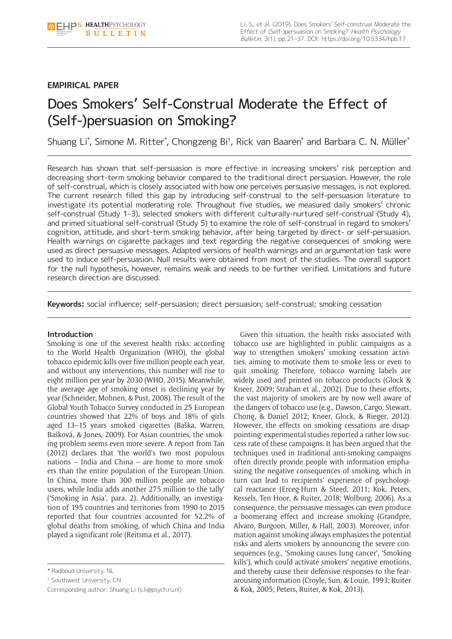# **EMPIRICAL PAPER**

# Does Smokers' Self-Construal Moderate the Effect of (Self-)persuasion on Smoking?

Shuang Li\*, Simone M. Ritter\*, Chongzeng Bi†, Rick van Baaren\* and Barbara C. N. Müller\*

Research has shown that self-persuasion is more effective in increasing smokers' risk perception and decreasing short-term smoking behavior compared to the traditional direct persuasion. However, the role of self-construal, which is closely associated with how one perceives persuasive messages, is not explored. The current research filled this gap by introducing self-construal to the self-persuasion literature to investigate its potential moderating role. Throughout five studies, we measured daily smokers' chronic self-construal (Study 1-3), selected smokers with different culturally-nurtured self-construal (Study 4), and primed situational self-construal (Study 5) to examine the role of self-construal in regard to smokers' cognition, attitude, and short-term smoking behavior, after being targeted by direct- or self-persuasion. Health warnings on cigarette packages and text regarding the negative consequences of smoking were used as direct persuasive messages. Adapted versions of health warnings and an argumentation task were used to induce self-persuasion. Null results were obtained from most of the studies. The overall support for the null hypothesis, however, remains weak and needs to be further verified. Limitations and future research direction are discussed.

**Keywords:** social influence; self-persuasion; direct persuasion; self-construal; smoking cessation

# **Introduction**

Smoking is one of the severest health risks: according to the World Health Organization (WHO), the global tobacco epidemic kills over five million people each year, and without any interventions, this number will rise to eight million per year by 2030 (WHO, 2015). Meanwhile, the average age of smoking onset is declining year by year (Schneider, Mohnen, & Pust, 2008). The result of the Global Youth Tobacco Survey conducted in 25 European countries showed that 22% of boys and 18% of girls aged 13–15 years smoked cigarettes (Baška, Warren, Bašková, & Jones, 2009). For Asian countries, the smoking problem seems even more severe. A report from Tan (2012) declares that 'the world's two most populous nations – India and China – are home to more smokers than the entire population of the European Union. In China, more than 300 million people are tobacco users, while India adds another 275 million to the tally' ('Smoking in Asia', para. 2). Additionally, an investigation of 195 countries and territories from 1990 to 2015 reported that four countries accounted for 52.2% of global deaths from smoking, of which China and India played a significant role (Reitsma et al., 2017).

† Southwest University, CN

Corresponding author: Shuang Li ([s.li@psych.ru.nl](mailto:s.li@psych.ru.nl))

Given this situation, the health risks associated with tobacco use are highlighted in public campaigns as a way to strengthen smokers' smoking cessation activities, aiming to motivate them to smoke less or even to quit smoking. Therefore, tobacco warning labels are widely used and printed on tobacco products (Glock & Kneer, 2009; Strahan et al., 2002). Due to these efforts, the vast majority of smokers are by now well aware of the dangers of tobacco use (e.g., Dawson, Cargo, Stewart, Chong, & Daniel 2012; Kneer, Glock, & Rieger, 2012). However, the effects on smoking cessations are disappointing: experimental studies reported a rather low success rate of these campaigns. It has been argued that the techniques used in traditional anti-smoking campaigns often directly provide people with information emphasizing the negative consequences of smoking, which in turn can lead to recipients' experience of psychological reactance (Erceg-Hurn & Steed, 2011; Kok, Peters, Kessels, Ten Hoor, & Ruiter, 2018; Wolburg, 2006). As a consequence, the persuasive messages can even produce a boomerang effect and increase smoking (Grandpre, Alvaro, Burgoon, Miller, & Hall, 2003). Moreover, information against smoking always emphasizes the potential risks and alerts smokers by announcing the severe consequences (e.g., 'Smoking causes lung cancer', 'Smoking kills'), which could activate smokers' negative emotions, and thereby cause their defensive responses to the feararousing information (Croyle, Sun, & Louie, 1993; Ruiter & Kok, 2005; Peters, Ruiter, & Kok, 2013).

<sup>\*</sup> Radboud University, NL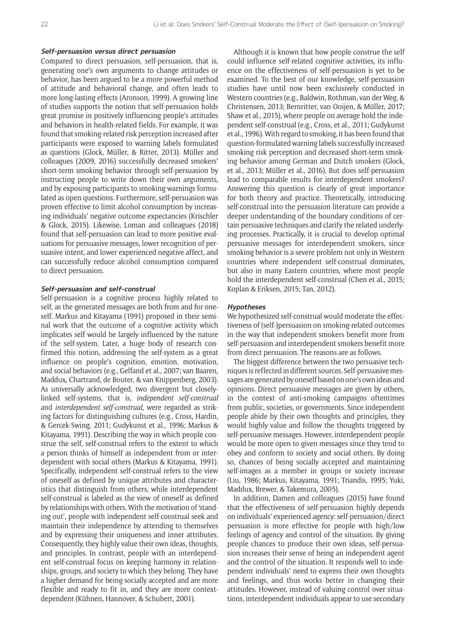#### **Self-persuasion versus direct persuasion**

Compared to direct persuasion, self-persuasion, that is, generating one's own arguments to change attitudes or behavior, has been argued to be a more powerful method of attitude and behavioral change, and often leads to more long-lasting effects (Aronson, 1999). A growing line of studies supports the notion that self-persuasion holds great promise in positively influencing people's attitudes and behaviors in health-related fields. For example, it was found that smoking-related risk perception increased after participants were exposed to warning labels formulated as questions (Glock, Müller, & Ritter, 2013). Müller and colleagues (2009, 2016) successfully decreased smokers' short-term smoking behavior through self-persuasion by instructing people to write down their own arguments, and by exposing participants to smoking warnings formulated as open questions. Furthermore, self-persuasion was proven effective to limit alcohol consumption by increasing individuals' negative outcome expectancies (Krischler & Glock, 2015). Likewise, Loman and colleagues (2018) found that self-persuasion can lead to more positive evaluations for persuasive messages, lower recognition of persuasive intent, and lower experienced negative affect, and can successfully reduce alcohol consumption compared to direct persuasion.

#### **Self-persuasion and self-construal**

Self-persuasion is a cognitive process highly related to self, as the generated messages are both from and for oneself. Markus and Kitayama (1991) proposed in their seminal work that the outcome of a cognitive activity which implicates self would be largely influenced by the nature of the self-system. Later, a huge body of research confirmed this notion, addressing the self-system as a great influence on people's cognition, emotion, motivation, and social behaviors (e.g., Gelfand et al., 2007; van Baaren, Maddux, Chartrand, de Bouter, & van Knippenberg, 2003). As universally acknowledged, two divergent but closelylinked self-systems, that is, *independent self-construal* and *interdependent self-construal*, were regarded as striking factors for distinguishing cultures (e.g., Cross, Hardin, & Gercek-Swing, 2011; Gudykunst et al., 1996; Markus & Kitayama, 1991). Describing the way in which people construe the self, self-construal refers to the extent to which a person thinks of himself as independent from or interdependent with social others (Markus & Kitayama, 1991). Specifically, independent self-construal refers to the view of oneself as defined by unique attributes and characteristics that distinguish from others, while interdependent self-construal is labeled as the view of oneself as defined by relationships with others. With the motivation of 'standing out', people with independent self-construal seek and maintain their independence by attending to themselves and by expressing their uniqueness and inner attributes. Consequently, they highly value their own ideas, thoughts, and principles. In contrast, people with an interdependent self-construal focus on keeping harmony in relationships, groups, and society to which they belong. They have a higher demand for being socially accepted and are more flexible and ready to fit in, and they are more contextdependent (Kühnen, Hannover, & Schubert, 2001).

Although it is known that how people construe the self could influence self-related cognitive activities, its influence on the effectiveness of self-persuasion is yet to be examined. To the best of our knowledge, self-persuasion studies have until now been exclusively conducted in Western countries (e.g., Baldwin, Rothman, van der Weg, & Christensen, 2013; Bernritter, van Ooijen, & Müller, 2017; Shaw et al., 2015), where people on average hold the independent self-construal (e.g., Cross, et al., 2011; Gudykunst et al., 1996). With regard to smoking, it has been found that question-formulated warning labels successfully increased smoking risk perception and decreased short-term smoking behavior among German and Dutch smokers (Glock, et al., 2013; Müller et al., 2016). But does self-persuasion lead to comparable results for interdependent smokers? Answering this question is clearly of great importance for both theory and practice. Theoretically, introducing self-construal into the persuasion literature can provide a deeper understanding of the boundary conditions of certain persuasive techniques and clarify the related underlying processes. Practically, it is crucial to develop optimal persuasive messages for interdependent smokers, since smoking behavior is a severe problem not only in Western countries where independent self-construal dominates, but also in many Eastern countries, where most people hold the interdependent self-construal (Chen et al., 2015; Koplan & Eriksen, 2015; Tan, 2012).

# **Hypotheses**

We hypothesized self-construal would moderate the effectiveness of (self-)persuasion on smoking-related outcomes in the way that independent smokers benefit more from self-persuasion and interdependent smokers benefit more from direct persuasion. The reasons are as follows.

The biggest difference between the two persuasive techniques is reflected in different sources. Self-persuasive messages are generated by oneself based on one's own ideas and opinions. Direct persuasive messages are given by others, in the context of anti-smoking campaigns oftentimes from public, societies, or governments. Since independent people abide by their own thoughts and principles, they would highly value and follow the thoughts triggered by self-persuasive messages. However, interdependent people would be more open to given messages since they tend to obey and conform to society and social others. By doing so, chances of being socially accepted and maintaining self-images as a member in groups or society increase (Liu, 1986; Markus, Kitayama, 1991; Triandis, 1995; Yuki, Maddux, Brewer, & Takemura, 2005).

In addition, Damen and colleagues (2015) have found that the effectiveness of self-persuasion highly depends on individuals' experienced agency: self-persuasion/direct persuasion is more effective for people with high/low feelings of agency and control of the situation. By giving people chances to produce their own ideas, self-persuasion increases their sense of being an independent agent and the control of the situation. It responds well to independent individuals' need to express their own thoughts and feelings, and thus works better in changing their attitudes. However, instead of valuing control over situations, interdependent individuals appear to use secondary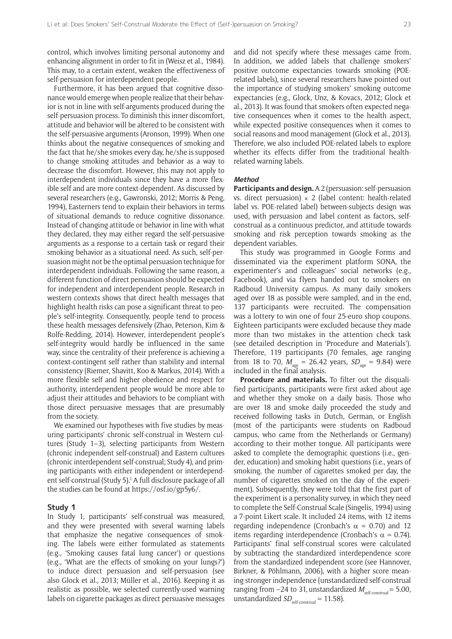control, which involves limiting personal autonomy and enhancing alignment in order to fit in (Weisz et al., 1984). This may, to a certain extent, weaken the effectiveness of self-persuasion for interdependent people.

Furthermore, it has been argued that cognitive dissonance would emerge when people realize that their behavior is not in line with self-arguments produced during the self-persuasion process. To diminish this inner discomfort, attitude and behavior will be altered to be consistent with the self-persuasive arguments (Aronson, 1999). When one thinks about the negative consequences of smoking and the fact that he/she smokes every day, he/she is supposed to change smoking attitudes and behavior as a way to decrease the discomfort. However, this may not apply to interdependent individuals since they have a more flexible self and are more context-dependent. As discussed by several researchers (e.g., Gawronski, 2012; Morris & Peng, 1994), Easterners tend to explain their behaviors in terms of situational demands to reduce cognitive dissonance. Instead of changing attitude or behavior in line with what they declared, they may either regard the self-persuasive arguments as a response to a certain task or regard their smoking behavior as a situational need. As such, self-persuasion might not be the optimal persuasion technique for interdependent individuals. Following the same reason, a different function of direct persuasion should be expected for independent and interdependent people. Research in western contexts shows that direct health messages that highlight health risks can pose a significant threat to people's self-integrity. Consequently, people tend to process these health messages defensively (Zhao, Peterson, Kim & Rolfe-Redding, 2014). However, interdependent people's self-integrity would hardly be influenced in the same way, since the centrality of their preference is achieving a context-contingent self rather than stability and internal consistency (Riemer, Shavitt, Koo & Markus, 2014). With a more flexible self and higher obedience and respect for authority, interdependent people would be more able to adjust their attitudes and behaviors to be compliant with those direct persuasive messages that are presumably from the society.

We examined our hypotheses with five studies by measuring participants' chronic self-construal in Western cultures (Study 1–3), selecting participants from Western (chronic independent self-construal) and Eastern cultures (chronic interdependent self-construal; Study 4), and priming participants with either independent or interdependent self-construal (Study 5).<sup>1</sup> A full disclosure package of all the studies can be found at <https://osf.io/gp5y6/>.

# **Study 1**

In Study 1, participants' self-construal was measured, and they were presented with several warning labels that emphasize the negative consequences of smoking. The labels were either formulated as statements (e.g., 'Smoking causes fatal lung cancer') or questions (e.g., 'What are the effects of smoking on your lungs?') to induce direct persuasion and self-persuasion (see also Glock et al., 2013; Müller et al., 2016). Keeping it as realistic as possible, we selected currently-used warning labels on cigarette packages as direct persuasive messages and did not specify where these messages came from. In addition, we added labels that challenge smokers' positive outcome expectancies towards smoking (POErelated labels), since several researchers have pointed out the importance of studying smokers' smoking outcome expectancies (e.g., Glock, Unz, & Kovacs, 2012; Glock et al., 2013). It was found that smokers often expected negative consequences when it comes to the health aspect, while expected positive consequences when it comes to social reasons and mood management (Glock et al., 2013). Therefore, we also included POE-related labels to explore whether its effects differ from the traditional healthrelated warning labels.

# **Method**

**Participants and design.** A 2 (persuasion: self-persuasion vs. direct persuasion)  $\times$  2 (label content: health-related label vs. POE-related label) between-subjects design was used, with persuasion and label content as factors, selfconstrual as a continuous predictor, and attitude towards smoking and risk perception towards smoking as the dependent variables.

This study was programmed in Google Forms and disseminated via the experiment platform SONA, the experimenter's and colleagues' social networks (e.g., Facebook), and via flyers handed out to smokers on Radboud University campus. As many daily smokers aged over 18 as possible were sampled, and in the end, 137 participants were recruited. The compensation was a lottery to win one of four 25-euro shop coupons. Eighteen participants were excluded because they made more than two mistakes in the attention check task (see detailed description in 'Procedure and Materials'). Therefore, 119 participants (70 females, age ranging from 18 to 70,  $M_{\text{age}} = 26.42$  years,  $SD_{\text{age}} = 9.84$ ) were included in the final analysis.

**Procedure and materials.** To filter out the disqualified participants, participants were first asked about age and whether they smoke on a daily basis. Those who are over 18 and smoke daily proceeded the study and received following tasks in Dutch, German, or English (most of the participants were students on Radboud campus, who came from the Netherlands or Germany) according to their mother tongue. All participants were asked to complete the demographic questions (i.e., gender, education) and smoking habit questions (i.e., years of smoking, the number of cigarettes smoked per day, the number of cigarettes smoked on the day of the experiment). Subsequently, they were told that the first part of the experiment is a personality survey, in which they need to complete the Self-Construal Scale (Singelis, 1994) using a 7-point Likert scale. It included 24 items, with 12 items regarding independence (Cronbach's  $\alpha = 0.70$ ) and 12 items regarding interdependence (Cronbach's  $\alpha = 0.74$ ). Participants' final self-construal scores were calculated by subtracting the standardized interdependence score from the standardized independent score (see Hannover, Birkner, & Pöhlmann, 2006), with a higher score meaning stronger independence (unstandardized self-construal ranging from  $-24$  to 31, unstandardized  $M_{\text{self-construal}} = 5.00$ , unstandardized  $SD_{\text{self-construal}} = 11.58$ ).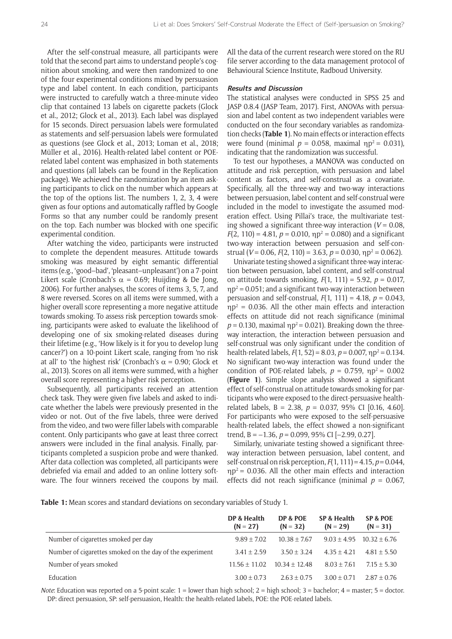After the self-construal measure, all participants were told that the second part aims to understand people's cognition about smoking, and were then randomized to one of the four experimental conditions mixed by persuasion type and label content. In each condition, participants were instructed to carefully watch a three-minute video clip that contained 13 labels on cigarette packets (Glock et al., 2012; Glock et al., 2013). Each label was displayed for 15 seconds. Direct persuasion labels were formulated as statements and self-persuasion labels were formulated as questions (see Glock et al., 2013; Loman et al., 2018; Müller et al., 2016). Health-related label content or POErelated label content was emphasized in both statements and questions (all labels can be found in the Replication package). We achieved the randomization by an item asking participants to click on the number which appears at the top of the options list. The numbers 1, 2, 3, 4 were given as four options and automatically raffled by Google Forms so that any number could be randomly present on the top. Each number was blocked with one specific experimental condition.

After watching the video, participants were instructed to complete the dependent measures. Attitude towards smoking was measured by eight semantic differential items (e.g., 'good–bad', 'pleasant–unpleasant') on a 7-point Likert scale (Cronbach's  $\alpha = 0.69$ ; Huijding & De Jong, 2006). For further analyses, the scores of items 3, 5, 7, and 8 were reversed. Scores on all items were summed, with a higher overall score representing a more negative attitude towards smoking. To assess risk perception towards smoking, participants were asked to evaluate the likelihood of developing one of six smoking-related diseases during their lifetime (e.g., 'How likely is it for you to develop lung cancer?') on a 10-point Likert scale, ranging from 'no risk at all' to 'the highest risk' (Cronbach's  $\alpha$  = 0.90; Glock et al., 2013). Scores on all items were summed, with a higher overall score representing a higher risk perception.

Subsequently, all participants received an attention check task. They were given five labels and asked to indicate whether the labels were previously presented in the video or not. Out of the five labels, three were derived from the video, and two were filler labels with comparable content. Only participants who gave at least three correct answers were included in the final analysis. Finally, participants completed a suspicion probe and were thanked. After data collection was completed, all participants were debriefed via email and added to an online lottery software. The four winners received the coupons by mail. All the data of the current research were stored on the RU file server according to the data management protocol of Behavioural Science Institute, Radboud University.

# **Results and Discussion**

The statistical analyses were conducted in SPSS 25 and JASP 0.8.4 (JASP Team, 2017). First, ANOVAs with persuasion and label content as two independent variables were conducted on the four secondary variables as randomization checks (**Table 1**). No main effects or interaction effects were found (minimal  $p = 0.058$ , maximal  $np^2 = 0.031$ ), indicating that the randomization was successful.

To test our hypotheses, a MANOVA was conducted on attitude and risk perception, with persuasion and label content as factors, and self-construal as a covariate. Specifically, all the three-way and two-way interactions between persuasion, label content and self-construal were included in the model to investigate the assumed moderation effect. Using Pillai's trace, the multivariate testing showed a significant three-way interaction  $(V = 0.08,$  $F(2, 110) = 4.81$ ,  $p = 0.010$ ,  $np^2 = 0.080$ ) and a significant two-way interaction between persuasion and self-construal (*V* = 0.06, *F*(2, 110) = 3.63, *p* = 0.030,  $np^2$  = 0.062).

Univariate testing showed a significant three-way interaction between persuasion, label content, and self-construal on attitude towards smoking, *F*(1, 111) = 5.92, *p* = 0.017,  $\eta p^2$  = 0.051; and a significant two-way interaction between persuasion and self-construal, *F*(1, 111) = 4.18, *p* = 0.043,  $np^2$  = 0.036. All the other main effects and interaction effects on attitude did not reach significance (minimal  $p = 0.130$ , maximal  $np^2 = 0.021$ ). Breaking down the threeway interaction, the interaction between persuasion and self-construal was only significant under the condition of health-related labels,  $F(1, 52) = 8.03$ ,  $p = 0.007$ ,  $np^2 = 0.134$ . No significant two-way interaction was found under the condition of POE-related labels,  $p = 0.759$ ,  $np^2 = 0.002$ (**Figure 1**). Simple slope analysis showed a significant effect of self-construal on attitude towards smoking for participants who were exposed to the direct-persuasive healthrelated labels, B = 2.38, *p* = 0.037, 95% CI [0.16, 4.60]. For participants who were exposed to the self-persuasive health-related labels, the effect showed a non-significant trend, B = –1.36, *p* = 0.099, 95% CI [–2.99, 0.27].

Similarly, univariate testing showed a significant threeway interaction between persuasion, label content, and self-construal on risk perception, *F*(1, 111) = 4.15, *p* = 0.044,  $np^2$  = 0.036. All the other main effects and interaction effects did not reach significance (minimal *p* = 0.067,

**Table 1:** Mean scores and standard deviations on secondary variables of Study 1.

|                                                          | DP & Health<br>$(N = 27)$ | DP & POE<br>$(N = 32)$ | SP & Health<br>$(N = 29)$ | SP & POE<br>$(N = 31)$ |
|----------------------------------------------------------|---------------------------|------------------------|---------------------------|------------------------|
| Number of cigarettes smoked per day                      | $9.89 \pm 7.02$           | $10.38 \pm 7.67$       | $9.03 \pm 4.95$           | $10.32 \pm 6.76$       |
| Number of cigarettes smoked on the day of the experiment | $3.41 \pm 2.59$           | $3.50 \pm 3.24$        | $4.35 + 4.21$             | $4.81 \pm 5.50$        |
| Number of years smoked                                   | $11.56 \pm 11.02$         | $10.34 + 12.48$        | $8.03 \pm 7.61$           | $7.15 \pm 5.30$        |
| Education                                                | $3.00 \pm 0.73$           | $2.63 \pm 0.75$        | $3.00 \pm 0.71$           | $2.87 \pm 0.76$        |

*Note*: Education was reported on a 5-point scale: 1 = lower than high school; 2 = high school; 3 = bachelor; 4 = master; 5 = doctor. DP: direct persuasion, SP: self-persuasion, Health: the health-related labels, POE: the POE-related labels.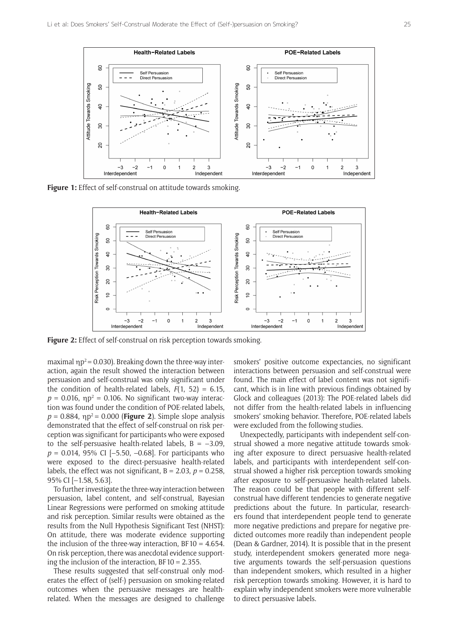

**Figure 1:** Effect of self-construal on attitude towards smoking.



**Figure 2:** Effect of self-construal on risk perception towards smoking.

maximal  $np^2$  = 0.030). Breaking down the three-way interaction, again the result showed the interaction between persuasion and self-construal was only significant under the condition of health-related labels,  $F(1, 52) = 6.15$ ,  $p = 0.016$ ,  $np^2 = 0.106$ . No significant two-way interaction was found under the condition of POE-related labels,  $p = 0.884$ ,  $np^2 = 0.000$  (**Figure 2**). Simple slope analysis demonstrated that the effect of self-construal on risk perception was significant for participants who were exposed to the self-persuasive health-related labels,  $B = -3.09$ , *p* = 0.014, 95% CI [–5.50, –0.68]. For participants who were exposed to the direct-persuasive health-related labels, the effect was not significant,  $B = 2.03$ ,  $p = 0.258$ . 95% CI [–1.58, 5.63].

To further investigate the three-way interaction between persuasion, label content, and self-construal, Bayesian Linear Regressions were performed on smoking attitude and risk perception. Similar results were obtained as the results from the Null Hypothesis Significant Test (NHST): On attitude, there was moderate evidence supporting the inclusion of the three-way interaction, BF10 =  $4.654$ . On risk perception, there was anecdotal evidence supporting the inclusion of the interaction.  $BF10 = 2.355$ .

These results suggested that self-construal only moderates the effect of (self-) persuasion on smoking-related outcomes when the persuasive messages are healthrelated. When the messages are designed to challenge

smokers' positive outcome expectancies, no significant interactions between persuasion and self-construal were found. The main effect of label content was not significant, which is in line with previous findings obtained by Glock and colleagues (2013): The POE-related labels did not differ from the health-related labels in influencing smokers' smoking behavior. Therefore, POE-related labels were excluded from the following studies.

Unexpectedly, participants with independent self-construal showed a more negative attitude towards smoking after exposure to direct persuasive health-related labels, and participants with interdependent self-construal showed a higher risk perception towards smoking after exposure to self-persuasive health-related labels. The reason could be that people with different selfconstrual have different tendencies to generate negative predictions about the future. In particular, researchers found that interdependent people tend to generate more negative predictions and prepare for negative predicted outcomes more readily than independent people (Dean & Gardner, 2014). It is possible that in the present study, interdependent smokers generated more negative arguments towards the self-persuasion questions than independent smokers, which resulted in a higher risk perception towards smoking. However, it is hard to explain why independent smokers were more vulnerable to direct persuasive labels.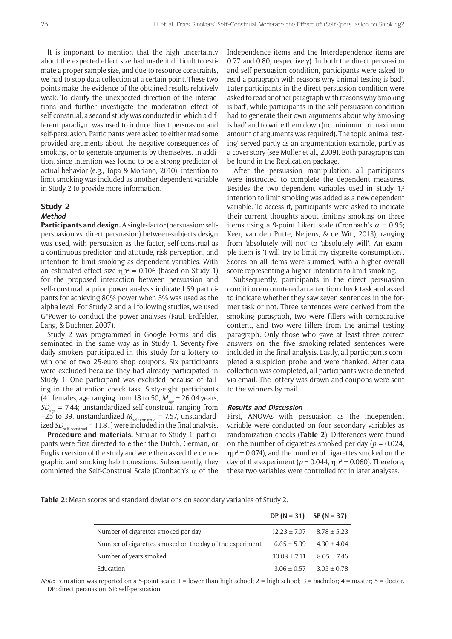It is important to mention that the high uncertainty about the expected effect size had made it difficult to estimate a proper sample size, and due to resource constraints, we had to stop data collection at a certain point. These two points make the evidence of the obtained results relatively weak. To clarify the unexpected direction of the interactions and further investigate the moderation effect of self-construal, a second study was conducted in which a different paradigm was used to induce direct persuasion and self-persuasion. Participants were asked to either read some provided arguments about the negative consequences of smoking, or to generate arguments by themselves. In addition, since intention was found to be a strong predictor of actual behavior (e.g., Topa & Moriano, 2010), intention to limit smoking was included as another dependent variable in Study 2 to provide more information.

# **Study 2 Method**

**Participants and design.** A single-factor (persuasion: selfpersuasion vs. direct persuasion) between-subjects design was used, with persuasion as the factor, self-construal as a continuous predictor, and attitude, risk perception, and intention to limit smoking as dependent variables. With an estimated effect size  $\eta p^2 = 0.106$  (based on Study 1) for the proposed interaction between persuasion and self-construal, a prior power analysis indicated 69 participants for achieving 80% power when 5% was used as the alpha level. For Study 2 and all following studies, we used G\*Power to conduct the power analyses (Faul, Erdfelder, Lang, & Buchner, 2007).

Study 2 was programmed in Google Forms and disseminated in the same way as in Study 1. Seventy-five daily smokers participated in this study for a lottery to win one of two 25-euro shop coupons. Six participants were excluded because they had already participated in Study 1. One participant was excluded because of failing in the attention check task. Sixty-eight participants (41 females, age ranging from 18 to 50,  $M_{\text{gas}}$  = 26.04 years,  $SD_{\text{max}} = 7.44$ ; unstandardized self-construal ranging from –25 to 39, unstandardized  $M_{\textrm{\tiny self-construal}}$  = 7.57, unstandardized  $SD_{\textrm{\tiny self-constral}}$  = 11.81) were included in the final analysis.

**Procedure and materials.** Similar to Study 1, participants were first directed to either the Dutch, German, or English version of the study and were then asked the demographic and smoking habit questions. Subsequently, they completed the Self-Construal Scale (Cronbach's α of the Independence items and the Interdependence items are 0.77 and 0.80, respectively). In both the direct persuasion and self-persuasion condition, participants were asked to read a paragraph with reasons why 'animal testing is bad'. Later participants in the direct persuasion condition were asked to read another paragraph with reasons why 'smoking is bad', while participants in the self-persuasion condition had to generate their own arguments about why 'smoking is bad' and to write them down (no minimum or maximum amount of arguments was required). The topic 'animal testing' served partly as an argumentation example, partly as a cover story (see Müller et al., 2009). Both paragraphs can be found in the Replication package.

After the persuasion manipulation, all participants were instructed to complete the dependent measures. Besides the two dependent variables used in Study  $1<sup>2</sup>$ intention to limit smoking was added as a new dependent variable. To access it, participants were asked to indicate their current thoughts about limiting smoking on three items using a 9-point Likert scale (Cronbach's  $\alpha$  = 0.95; Keer, van den Putte, Neijens, & de Wit., 2013), ranging from 'absolutely will not' to 'absolutely will'. An example item is 'I will try to limit my cigarette consumption'. Scores on all items were summed, with a higher overall score representing a higher intention to limit smoking.

Subsequently, participants in the direct persuasion condition encountered an attention check task and asked to indicate whether they saw seven sentences in the former task or not. Three sentences were derived from the smoking paragraph, two were fillers with comparative content, and two were fillers from the animal testing paragraph. Only those who gave at least three correct answers on the five smoking-related sentences were included in the final analysis. Lastly, all participants completed a suspicion probe and were thanked. After data collection was completed, all participants were debriefed via email. The lottery was drawn and coupons were sent to the winners by mail.

#### **Results and Discussion**

First, ANOVAs with persuasion as the independent variable were conducted on four secondary variables as randomization checks (**Table 2**). Differences were found on the number of cigarettes smoked per day ( $p = 0.024$ ,  $\eta p^2$  = 0.074), and the number of cigarettes smoked on the day of the experiment ( $p = 0.044$ ,  $np^2 = 0.060$ ). Therefore, these two variables were controlled for in later analyses.

**Table 2:** Mean scores and standard deviations on secondary variables of Study 2.

|                                                          | DP (N = 31) SP (N = 37) |                 |
|----------------------------------------------------------|-------------------------|-----------------|
| Number of cigarettes smoked per day                      | $12.23 \pm 7.07$        | $8.78 \pm 5.23$ |
| Number of cigarettes smoked on the day of the experiment | $6.65 \pm 5.39$         | $4.30 \pm 4.04$ |
| Number of years smoked                                   | $10.08 \pm 7.11$        | $8.05 \pm 7.46$ |
| Education                                                | $3.06 \pm 0.57$         | $3.05 \pm 0.78$ |

*Note*: Education was reported on a 5-point scale: 1 = lower than high school; 2 = high school; 3 = bachelor; 4 = master; 5 = doctor. DP: direct persuasion, SP: self-persuasion.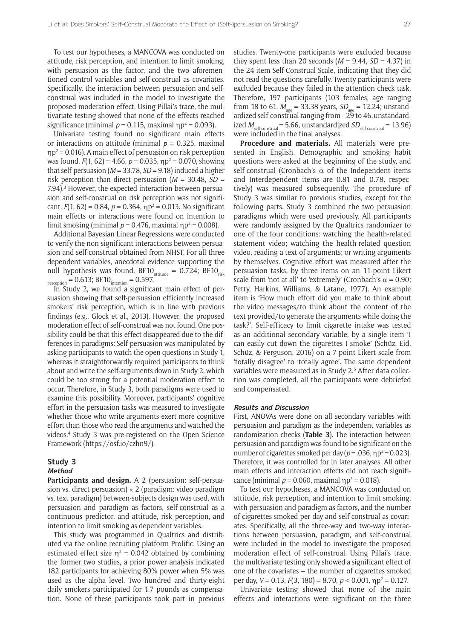To test our hypotheses, a MANCOVA was conducted on attitude, risk perception, and intention to limit smoking, with persuasion as the factor, and the two aforementioned control variables and self-construal as covariates. Specifically, the interaction between persuasion and selfconstrual was included in the model to investigate the proposed moderation effect. Using Pillai's trace, the multivariate testing showed that none of the effects reached significance (minimal  $p = 0.115$ , maximal  $\eta p^2 = 0.093$ ).

Univariate testing found no significant main effects or interactions on attitude (minimal  $p = 0.325$ , maximal  $\eta p^2$  = 0.016). A main effect of persuasion on risk perception was found,  $F(1, 62) = 4.66$ ,  $p = 0.035$ ,  $np^2 = 0.070$ , showing that self-persuasion (*M* = 33.78, *SD* = 9.18) induced a higher risk perception than direct persuasion (*M* = 30.48, *SD* = 7.94).<sup>3</sup> However, the expected interaction between persuasion and self-construal on risk perception was not significant,  $F(1, 62) = 0.84$ ,  $p = 0.364$ ,  $np^2 = 0.013$ . No significant main effects or interactions were found on intention to limit smoking (minimal  $p = 0.476$ , maximal  $np^2 = 0.008$ ).

Additional Bayesian Linear Regressions were conducted to verify the non-significant interactions between persuasion and self-construal obtained from NHST. For all three dependent variables, anecdotal evidence supporting the null hypothesis was found, BF10 $_{\text{attitude}} = 0.724$ ; BF10 $_{\text{risk}}$  $p_{\text{perception}} = 0.613$ ; BF  $10_{\text{intention}} = 0.597$ .

In Study 2, we found a significant main effect of persuasion showing that self-persuasion efficiently increased smokers' risk perception, which is in line with previous findings (e.g., Glock et al., 2013). However, the proposed moderation effect of self-construal was not found. One possibility could be that this effect disappeared due to the differences in paradigms: Self-persuasion was manipulated by asking participants to watch the open questions in Study 1, whereas it straightforwardly required participants to think about and write the self-arguments down in Study 2, which could be too strong for a potential moderation effect to occur. Therefore, in Study 3, both paradigms were used to examine this possibility. Moreover, participants' cognitive effort in the persuasion tasks was measured to investigate whether those who write arguments exert more cognitive effort than those who read the arguments and watched the videos.4 Study 3 was pre-registered on the Open Science Framework [\(https://osf.io/czhn9/](https://osf.io/czhn9/)).

# **Study 3**

# **Method**

Participants and design. A 2 (persuasion: self-persuasion vs. direct persuasion)  $\times$  2 (paradigm: video paradigm vs. text paradigm) between-subjects design was used, with persuasion and paradigm as factors, self-construal as a continuous predictor, and attitude, risk perception, and intention to limit smoking as dependent variables.

This study was programmed in Qualtrics and distributed via the online recruiting platform Prolific. Using an estimated effect size  $\eta^2 = 0.042$  obtained by combining the former two studies, a prior power analysis indicated 182 participants for achieving 80% power when 5% was used as the alpha level. Two hundred and thirty-eight daily smokers participated for 1.7 pounds as compensation. None of these participants took part in previous

studies. Twenty-one participants were excluded because they spent less than 20 seconds  $(M = 9.44, SD = 4.37)$  in the 24-item Self-Construal Scale, indicating that they did not read the questions carefully. Twenty participants were excluded because they failed in the attention check task. Therefore, 197 participants (103 females, age ranging from 18 to 61,  $M_{\text{age}} = 33.38$  years,  $SD_{\text{age}} = 12.24$ ; unstandardized self-construal ranging from  $-29$  to 46, unstandardized  $M_{\text{self-constral}}$  = 5.66, unstandardized  $SD_{\text{self-constral}}$  = 13.96) were included in the final analyses.

**Procedure and materials.** All materials were presented in English. Demographic and smoking habit questions were asked at the beginning of the study, and self-construal (Cronbach's  $\alpha$  of the Independent items and Interdependent items are 0.81 and 0.78, respectively) was measured subsequently. The procedure of Study 3 was similar to previous studies, except for the following parts. Study 3 combined the two persuasion paradigms which were used previously. All participants were randomly assigned by the Qualtrics randomizer to one of the four conditions: watching the health-related statement video; watching the health-related question video, reading a text of arguments; or writing arguments by themselves. Cognitive effort was measured after the persuasion tasks, by three items on an 11-point Likert scale from 'not at all' to 'extremely' (Cronbach's  $\alpha$  = 0.90; Petty, Harkins, Williams, & Latane, 1977). An example item is 'How much effort did you make to think about the video messages/to think about the content of the text provided/to generate the arguments while doing the task?'. Self-efficacy to limit cigarette intake was tested as an additional secondary variable, by a single item 'I can easily cut down the cigarettes I smoke' (Schüz, Eid, Schüz, & Ferguson, 2016) on a 7-point Likert scale from 'totally disagree' to 'totally agree'. The same dependent variables were measured as in Study 2.<sup>5</sup> After data collection was completed, all the participants were debriefed and compensated.

#### **Results and Discussion**

First, ANOVAs were done on all secondary variables with persuasion and paradigm as the independent variables as randomization checks (**Table 3**). The interaction between persuasion and paradigm was found to be significant on the number of cigarettes smoked per day ( $p = .036$ ,  $np^2 = 0.023$ ). Therefore, it was controlled for in later analyses. All other main effects and interaction effects did not reach significance (minimal  $p = 0.060$ , maximal  $np^2 = 0.018$ ).

To test our hypotheses, a MANCOVA was conducted on attitude, risk perception, and intention to limit smoking, with persuasion and paradigm as factors, and the number of cigarettes smoked per day and self-construal as covariates. Specifically, all the three-way and two-way interactions between persuasion, paradigm, and self-construal were included in the model to investigate the proposed moderation effect of self-construal. Using Pillai's trace, the multivariate testing only showed a significant effect of one of the covariates – the number of cigarettes smoked per day, *V* = 0.13, *F*(3, 180) = 8.70, *p* < 0.001, ηp<sup>2</sup> = 0.127.

Univariate testing showed that none of the main effects and interactions were significant on the three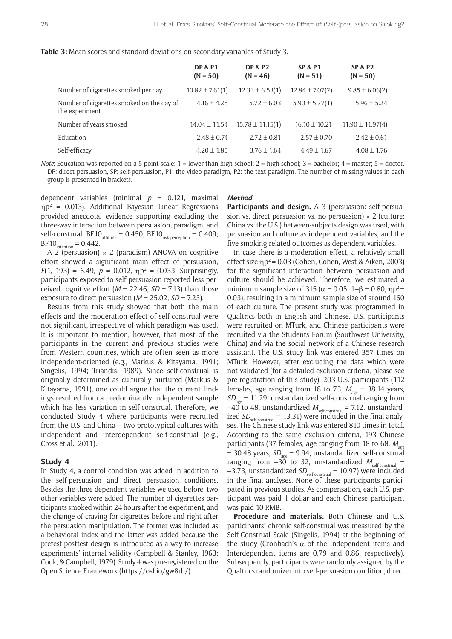|  |  | <b>Table 3:</b> Mean scores and standard deviations on secondary variables of Study 3. |  |
|--|--|----------------------------------------------------------------------------------------|--|
|  |  |                                                                                        |  |

|                                                             | <b>DP &amp; P1</b><br>$(N = 50)$ | <b>DP &amp; P2</b><br>$(N = 46)$ | <b>SP &amp; P1</b><br>$(N = 51)$ | <b>SP &amp; P2</b><br>$(N = 50)$ |
|-------------------------------------------------------------|----------------------------------|----------------------------------|----------------------------------|----------------------------------|
| Number of cigarettes smoked per day                         | $10.82 \pm 7.61(1)$              | $12.33 \pm 6.53(1)$              | $12.84 \pm 7.07(2)$              | $9.85 \pm 6.06(2)$               |
| Number of cigarettes smoked on the day of<br>the experiment | $4.16 \pm 4.25$                  | $5.72 \pm 6.03$                  | $5.90 \pm 5.77(1)$               | $5.96 \pm 5.24$                  |
| Number of years smoked                                      | $14.04 \pm 11.54$                | $15.78 \pm 11.15(1)$             | $16.10 \pm 10.21$                | $11.90 \pm 11.97(4)$             |
| Education                                                   | $2.48 \pm 0.74$                  | $2.72 \pm 0.81$                  | $2.57 \pm 0.70$                  | $2.42 \pm 0.61$                  |
| Self-efficacy                                               | $4.20 \pm 1.85$                  | $3.76 \pm 1.64$                  | $4.49 \pm 1.67$                  | $4.08 \pm 1.76$                  |

*Note*: Education was reported on a 5-point scale: 1 = lower than high school; 2 = high school; 3 = bachelor; 4 = master; 5 = doctor. DP: direct persuasion, SP: self-persuasion, P1: the video paradigm, P2: the text paradigm. The number of missing values in each group is presented in brackets.

dependent variables (minimal *p* = 0.121, maximal  $\eta p^2 = 0.013$ ). Additional Bayesian Linear Regressions provided anecdotal evidence supporting excluding the three-way interaction between persuasion, paradigm, and self-construal, BF10 $_{\text{attitude}} = 0.450$ ; BF10 $_{\text{risk perception}} = 0.409$ ;  $BF10$ <sub>intention</sub> = 0.442.

A 2 (persuasion)  $\times$  2 (paradigm) ANOVA on cognitive effort showed a significant main effect of persuasion,  $F(1, 193) = 6.49$ ,  $p = 0.012$ ,  $np^2 = 0.033$ : Surprisingly, participants exposed to self-persuasion reported less perceived cognitive effort  $(M = 22.46, SD = 7.13)$  than those exposure to direct persuasion (*M* = 25.02, *SD* = 7.23).

Results from this study showed that both the main effects and the moderation effect of self-construal were not significant, irrespective of which paradigm was used. It is important to mention, however, that most of the participants in the current and previous studies were from Western countries, which are often seen as more independent-oriented (e.g., Markus & Kitayama, 1991; Singelis, 1994; Triandis, 1989). Since self-construal is originally determined as culturally nurtured (Markus & Kitayama, 1991), one could argue that the current findings resulted from a predominantly independent sample which has less variation in self-construal. Therefore, we conducted Study 4 where participants were recruited from the U.S. and China – two prototypical cultures with independent and interdependent self-construal (e.g., Cross et al., 2011).

#### **Study 4**

In Study 4, a control condition was added in addition to the self-persuasion and direct persuasion conditions. Besides the three dependent variables we used before, two other variables were added: The number of cigarettes participants smoked within 24 hours after the experiment, and the change of craving for cigarettes before and right after the persuasion manipulation. The former was included as a behavioral index and the latter was added because the pretest-posttest design is introduced as a way to increase experiments' internal validity (Campbell & Stanley, 1963; Cook, & Campbell, 1979). Study 4 was pre-registered on the Open Science Framework [\(https://osf.io/gw8rb/](https://osf.io/gw8rb/)).

#### **Method**

Participants and design. A 3 (persuasion: self-persuasion vs. direct persuasion vs. no persuasion)  $\times$  2 (culture: China vs. the U.S.) between-subjects design was used, with persuasion and culture as independent variables, and the five smoking-related outcomes as dependent variables.

In case there is a moderation effect, a relatively small effect size  $\eta p^2 = 0.03$  (Cohen, Cohen, West & Aiken, 2003) for the significant interaction between persuasion and culture should be achieved. Therefore, we estimated a minimum sample size of 315 ( $\alpha$  = 0.05, 1–β = 0.80, np<sup>2</sup> = 0.03), resulting in a minimum sample size of around 160 of each culture. The present study was programmed in Qualtrics both in English and Chinese. U.S. participants were recruited on MTurk, and Chinese participants were recruited via the Students Forum (Southwest University, China) and via the social network of a Chinese research assistant. The U.S. study link was entered 357 times on MTurk. However, after excluding the data which were not validated (for a detailed exclusion criteria, please see pre-registration of this study), 203 U.S. participants (112 females, age ranging from 18 to 73,  $M_{\text{age}} = 38.14$  years,  $SD<sub>200</sub> = 11.29$ ; unstandardized self-construal ranging from  $-40$  to 48, unstandardized  $M_{\textrm{\tiny self-construal}}$  = 7.12, unstandardized *SD*<sub>self-construal</sub> = 13.31) were included in the final analyses. The Chinese study link was entered 810 times in total. According to the same exclusion criteria, 193 Chinese participants (37 females, age ranging from 18 to 68, M<sub>age</sub>  $= 30.48$  years,  $SD_{ax} = 9.94$ ; unstandardized self-construal ranging from  $-30$  to 32, unstandardized  $M_{\text{self-construal}} =$ –3.73, unstandardized *SD*<sub>self-construal</sub> = 10.97) were included in the final analyses. None of these participants participated in previous studies. As compensation, each U.S. participant was paid 1 dollar and each Chinese participant was paid 10 RMB.

**Procedure and materials.** Both Chinese and U.S. participants' chronic self-construal was measured by the Self-Construal Scale (Singelis, 1994) at the beginning of the study (Cronbach's  $\alpha$  of the Independent items and Interdependent items are 0.79 and 0.86, respectively). Subsequently, participants were randomly assigned by the Qualtrics randomizer into self-persuasion condition, direct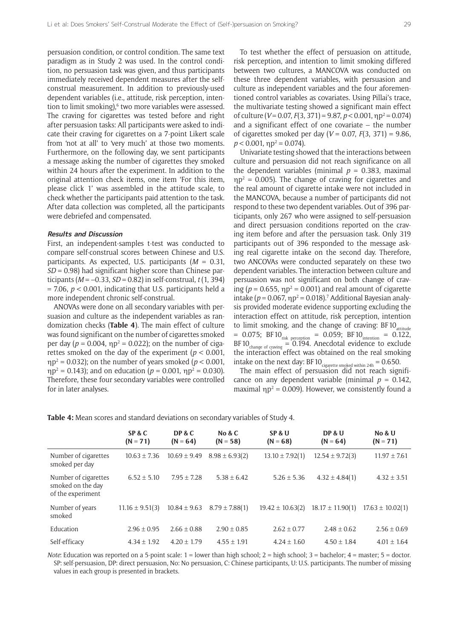persuasion condition, or control condition. The same text paradigm as in Study 2 was used. In the control condition, no persuasion task was given, and thus participants immediately received dependent measures after the selfconstrual measurement. In addition to previously-used dependent variables (i.e., attitude, risk perception, intention to limit smoking),<sup>6</sup> two more variables were assessed. The craving for cigarettes was tested before and right after persuasion tasks: All participants were asked to indicate their craving for cigarettes on a 7-point Likert scale from 'not at all' to 'very much' at those two moments. Furthermore, on the following day, we sent participants a message asking the number of cigarettes they smoked within 24 hours after the experiment. In addition to the original attention check items, one item 'For this item, please click 1' was assembled in the attitude scale, to check whether the participants paid attention to the task. After data collection was completed, all the participants were debriefed and compensated.

#### **Results and Discussion**

First, an independent-samples t-test was conducted to compare self-construal scores between Chinese and U.S. participants. As expected, U.S. participants (*M* = 0.31, *SD* = 0.98) had significant higher score than Chinese participants (*M* = –0.33, *SD* = 0.82) in self-construal, *t* (1, 394)  $= 7.06$ ,  $p < 0.001$ , indicating that U.S. participants held a more independent chronic self-construal.

ANOVAs were done on all secondary variables with persuasion and culture as the independent variables as randomization checks (**Table 4**). The main effect of culture was found significant on the number of cigarettes smoked per day ( $p = 0.004$ ,  $np^2 = 0.022$ ); on the number of cigarettes smoked on the day of the experiment (*p <* 0.001, ηp2 = 0.032); on the number of years smoked (*p <* 0.001,  $\eta p^2 = 0.143$ ; and on education ( $p = 0.001$ ,  $\eta p^2 = 0.030$ ). Therefore, these four secondary variables were controlled for in later analyses.

To test whether the effect of persuasion on attitude, risk perception, and intention to limit smoking differed between two cultures, a MANCOVA was conducted on these three dependent variables, with persuasion and culture as independent variables and the four aforementioned control variables as covariates. Using Pillai's trace, the multivariate testing showed a significant main effect of culture (*V* = 0.07, *F*(3, 371) = 9.87, *p* < 0.001, ηp<sup>2</sup> = 0.074) and a significant effect of one covariate – the number of cigarettes smoked per day (*V* = 0.07, *F*(3, 371) = 9.86,  $p < 0.001$ ,  $\eta p^2 = 0.074$ ).

Univariate testing showed that the interactions between culture and persuasion did not reach significance on all the dependent variables (minimal  $p = 0.383$ , maximal  $np^2 = 0.005$ ). The change of craving for cigarettes and the real amount of cigarette intake were not included in the MANCOVA, because a number of participants did not respond to these two dependent variables. Out of 396 participants, only 267 who were assigned to self-persuasion and direct persuasion conditions reported on the craving item before and after the persuasion task. Only 319 participants out of 396 responded to the message asking real cigarette intake on the second day. Therefore, two ANCOVAs were conducted separately on these two dependent variables. The interaction between culture and persuasion was not significant on both change of craving ( $p = 0.655$ ,  $\eta p^2 = 0.001$ ) and real amount of cigarette intake ( $p = 0.067$ ,  $np^2 = 0.018$ ).<sup>7</sup> Additional Bayesian analysis provided moderate evidence supporting excluding the interaction effect on attitude, risk perception, intention to limit smoking, and the change of craving:  $BFD_{\text{attitude}}$  $= 0.075$ ; BF10<sub>risk perception</sub>  $= 0.059$ ; BF10<sub>intention</sub>  $= 0.122$ , BF10 $_{\text{change of drawing}} = 0.194$ . Anecdotal evidence to exclude the interaction effect was obtained on the real smoking intake on the next day: BF10 $_{\text{cigarette smoked within 24h}}$  = 0.650.

The main effect of persuasion did not reach significance on any dependent variable (minimal  $p = 0.142$ , maximal  $\eta p^2 = 0.009$ ). However, we consistently found a

|                                                                | SP & C<br>$(N = 71)$ | DP & C<br>$(N = 64)$ | No & $C$<br>$(N = 58)$ | SP & U<br>$(N = 68)$ | DP & U<br>$(N = 64)$ | <b>No &amp; U</b><br>$(N = 71)$ |
|----------------------------------------------------------------|----------------------|----------------------|------------------------|----------------------|----------------------|---------------------------------|
| Number of cigarettes<br>smoked per day                         | $10.63 \pm 7.36$     | $10.69 \pm 9.49$     | $8.98 \pm 6.93(2)$     | $13.10 \pm 7.92(1)$  | $12.54 \pm 9.72(3)$  | $11.97 \pm 7.61$                |
| Number of cigarettes<br>smoked on the day<br>of the experiment | $6.52 \pm 5.10$      | $7.95 \pm 7.28$      | $5.38 \pm 6.42$        | $5.26 \pm 5.36$      | $4.32 \pm 4.84(1)$   | $4.32 \pm 3.51$                 |
| Number of years<br>smoked                                      | $11.16 \pm 9.51(3)$  | $10.84 \pm 9.63$     | $8.79 \pm 7.88(1)$     | $19.42 \pm 10.63(2)$ | $18.17 \pm 11.90(1)$ | $17.63 \pm 10.02(1)$            |
| Education                                                      | $2.96 \pm 0.95$      | $2.66 \pm 0.88$      | $2.90 \pm 0.85$        | $2.62 \pm 0.77$      | $2.48 \pm 0.62$      | $2.56 \pm 0.69$                 |
| Self-efficacy                                                  | $4.34 \pm 1.92$      | $4.20 \pm 1.79$      | $4.55 \pm 1.91$        | $4.24 \pm 1.60$      | $4.50 \pm 1.84$      | $4.01 \pm 1.64$                 |

**Table 4:** Mean scores and standard deviations on secondary variables of Study 4.

*Note*: Education was reported on a 5-point scale: 1 = lower than high school; 2 = high school; 3 = bachelor; 4 = master; 5 = doctor. SP: self-persuasion, DP: direct persuasion, No: No persuasion, C: Chinese participants, U: U.S. participants. The number of missing values in each group is presented in brackets.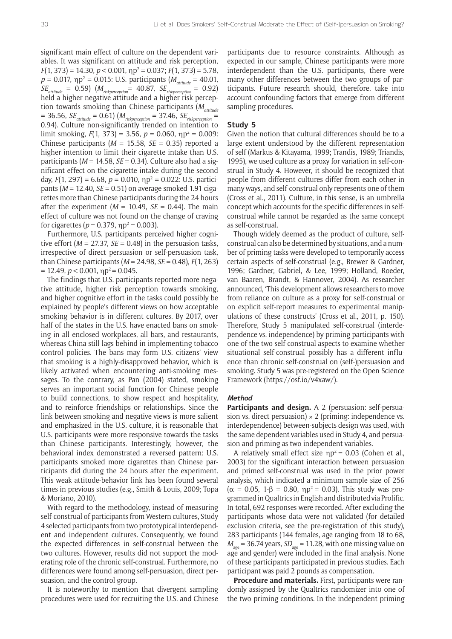significant main effect of culture on the dependent variables. It was significant on attitude and risk perception,  $F(1, 373) = 14.30, p < 0.001, \eta p^2 = 0.037; F(1, 373) = 5.78,$  $p = 0.017$ ,  $ηp² = 0.015$ : U.S. participants ( $M_{\text{attitude}} = 40.01$ ,  $SE_{\text{attitude}} = 0.59$   $(M_{\text{riskperception}} = 40.87, SE_{\text{riskperception}} = 0.92)$ held a higher negative attitude and a higher risk perception towards smoking than Chinese participants ( $M_{atitude}$  $= 36.56$ ,  $SE_{\text{attitude}} = 0.61$ ) ( $M_{\text{riskperception}} = 37.46$ ,  $SE_{\text{riskperception}} =$ 0.94). Culture non-significantly trended on intention to limit smoking,  $F(1, 373) = 3.56$ ,  $p = 0.060$ ,  $np^2 = 0.009$ : Chinese participants (*M* = 15.58, *SE* = 0.35) reported a higher intention to limit their cigarette intake than U.S. participants (*M* = 14.58, *SE* = 0.34). Culture also had a significant effect on the cigarette intake during the second day,  $F(1, 297) = 6.68$ ,  $p = 0.010$ ,  $np^2 = 0.022$ : U.S. participants (*M* = 12.40, *SE* = 0.51) on average smoked 1.91 cigarettes more than Chinese participants during the 24 hours after the experiment  $(M = 10.49, SE = 0.44)$ . The main effect of culture was not found on the change of craving for cigarettes ( $p = 0.379$ ,  $np^2 = 0.003$ ).

Furthermore, U.S. participants perceived higher cognitive effort ( $M = 27.37$ ,  $SE = 0.48$ ) in the persuasion tasks, irrespective of direct persuasion or self-persuasion task, than Chinese participants (*M* = 24.98, *SE* = 0.48), *F*(1, 263)  $= 12.49$ ,  $p < 0.001$ ,  $np^2 = 0.045$ .

The findings that U.S. participants reported more negative attitude, higher risk perception towards smoking, and higher cognitive effort in the tasks could possibly be explained by people's different views on how acceptable smoking behavior is in different cultures. By 2017, over half of the states in the U.S. have enacted bans on smoking in all enclosed workplaces, all bars, and restaurants, whereas China still lags behind in implementing tobacco control policies. The bans may form U.S. citizens' view that smoking is a highly-disapproved behavior, which is likely activated when encountering anti-smoking messages. To the contrary, as Pan (2004) stated, smoking serves an important social function for Chinese people to build connections, to show respect and hospitality, and to reinforce friendships or relationships. Since the link between smoking and negative views is more salient and emphasized in the U.S. culture, it is reasonable that U.S. participants were more responsive towards the tasks than Chinese participants. Interestingly, however, the behavioral index demonstrated a reversed pattern: U.S. participants smoked more cigarettes than Chinese participants did during the 24 hours after the experiment. This weak attitude-behavior link has been found several times in previous studies (e.g., Smith & Louis, 2009; Topa & Moriano, 2010).

With regard to the methodology, instead of measuring self-construal of participants from Western cultures, Study 4 selected participants from two prototypical interdependent and independent cultures. Consequently, we found the expected differences in self-construal between the two cultures. However, results did not support the moderating role of the chronic self-construal. Furthermore, no differences were found among self-persuasion, direct persuasion, and the control group.

It is noteworthy to mention that divergent sampling procedures were used for recruiting the U.S. and Chinese participants due to resource constraints. Although as expected in our sample, Chinese participants were more interdependent than the U.S. participants, there were many other differences between the two groups of participants. Future research should, therefore, take into account confounding factors that emerge from different sampling procedures.

### **Study 5**

Given the notion that cultural differences should be to a large extent understood by the different representation of self (Markus & Kitayama, 1999; Trandis, 1989; Triandis, 1995), we used culture as a proxy for variation in self-construal in Study 4. However, it should be recognized that people from different cultures differ from each other in many ways, and self-construal only represents one of them (Cross et al., 2011). Culture, in this sense, is an umbrella concept which accounts for the specific differences in selfconstrual while cannot be regarded as the same concept as self-construal.

Though widely deemed as the product of culture, selfconstrual can also be determined by situations, and a number of priming tasks were developed to temporarily access certain aspects of self-construal (e.g., Brewer & Gardner, 1996; Gardner, Gabriel, & Lee, 1999; Holland, Roeder, van Baaren, Brandt, & Hannover, 2004). As researcher announced, 'This development allows researchers to move from reliance on culture as a proxy for self-construal or on explicit self-report measures to experimental manipulations of these constructs' (Cross et al., 2011, p. 150). Therefore, Study 5 manipulated self-construal (interdependence vs. independence) by priming participants with one of the two self-construal aspects to examine whether situational self-construal possibly has a different influence than chronic self-construal on (self-)persuasion and smoking. Study 5 was pre-registered on the Open Science Framework [\(https://osf.io/v4xaw/\)](https://osf.io/v4xaw/).

# **Method**

Participants and design. A 2 (persuasion: self-persuasion vs. direct persuasion)  $\times$  2 (priming: independence vs. interdependence) between-subjects design was used, with the same dependent variables used in Study 4, and persuasion and priming as two independent variables.

A relatively small effect size  $np^2 = 0.03$  (Cohen et al., 2003) for the significant interaction between persuasion and primed self-construal was used in the prior power analysis, which indicated a minimum sample size of 256  $(α = 0.05, 1-β = 0.80, np<sup>2</sup> = 0.03)$ . This study was programmed in Qualtrics in English and distributed via Prolific. In total, 692 responses were recorded. After excluding the participants whose data were not validated (for detailed exclusion criteria, see the pre-registration of this study), 283 participants (144 females, age ranging from 18 to 68,  $M_{\text{age}} = 36.74$  years,  $SD_{\text{age}} = 11.28$ , with one missing value on age and gender) were included in the final analysis. None of these participants participated in previous studies. Each participant was paid 2 pounds as compensation.

**Procedure and materials.** First, participants were randomly assigned by the Qualtrics randomizer into one of the two priming conditions. In the independent priming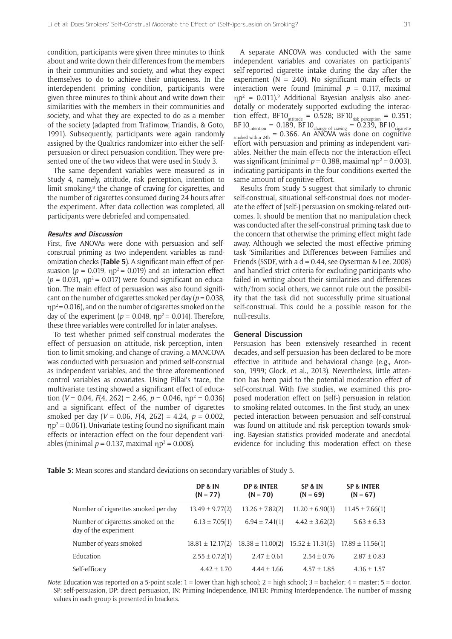condition, participants were given three minutes to think about and write down their differences from the members in their communities and society, and what they expect themselves to do to achieve their uniqueness. In the interdependent priming condition, participants were given three minutes to think about and write down their similarities with the members in their communities and society, and what they are expected to do as a member of the society (adapted from Trafimow, Triandis, & Goto, 1991). Subsequently, participants were again randomly assigned by the Qualtrics randomizer into either the selfpersuasion or direct persuasion condition. They were presented one of the two videos that were used in Study 3.

The same dependent variables were measured as in Study 4, namely, attitude, risk perception, intention to limit smoking,<sup>8</sup> the change of craving for cigarettes, and the number of cigarettes consumed during 24 hours after the experiment. After data collection was completed, all participants were debriefed and compensated.

#### **Results and Discussion**

First, five ANOVAs were done with persuasion and selfconstrual priming as two independent variables as randomization checks (**Table 5**). A significant main effect of persuasion ( $p = 0.019$ ,  $np^2 = 0.019$ ) and an interaction effect  $(p = 0.031, \eta p^2 = 0.017)$  were found significant on education. The main effect of persuasion was also found significant on the number of cigarettes smoked per day ( $p = 0.038$ ,  $np^2$  = 0.016), and on the number of cigarettes smoked on the day of the experiment ( $p = 0.048$ ,  $np^2 = 0.014$ ). Therefore, these three variables were controlled for in later analyses.

To test whether primed self-construal moderates the effect of persuasion on attitude, risk perception, intention to limit smoking, and change of craving, a MANCOVA was conducted with persuasion and primed self-construal as independent variables, and the three aforementioned control variables as covariates. Using Pillai's trace, the multivariate testing showed a significant effect of education (*V* = 0.04, *F*(4, 262) = 2.46, *p* = 0.046,  $np^2$  = 0.036) and a significant effect of the number of cigarettes smoked per day (*V* = 0.06, *F*(4, 262) = 4.24, *p* = 0.002,  $\eta p^2$  = 0.061). Univariate testing found no significant main effects or interaction effect on the four dependent variables (minimal  $p = 0.137$ , maximal  $np^2 = 0.008$ ).

A separate ANCOVA was conducted with the same independent variables and covariates on participants' self-reported cigarette intake during the day after the experiment ( $N = 240$ ). No significant main effects or interaction were found (minimal  $p = 0.117$ , maximal  $np^2 = 0.011$ ).<sup>9</sup> Additional Bayesian analysis also anecdotally or moderately supported excluding the interaction effect, BF10 $_{\text{attitude}} = 0.528$ ; BF10 $_{\text{risk perception}} = 0.351$ ; BF10 $_{\text{intention}}$  = 0.189, BF10 $_{\text{change of drawing}}$  = 0.239, BF10 $_{\text{cigarette}}$  $\frac{S_{\text{obs}}}{S_{\text{obs}}}}$  = 0.366. An ANOVA was done on cognitive effort with persuasion and priming as independent variables. Neither the main effects nor the interaction effect was significant (minimal  $p = 0.388$ , maximal  $np^2 = 0.003$ ), indicating participants in the four conditions exerted the same amount of cognitive effort.

Results from Study 5 suggest that similarly to chronic self-construal, situational self-construal does not moderate the effect of (self-) persuasion on smoking-related outcomes. It should be mention that no manipulation check was conducted after the self-construal priming task due to the concern that otherwise the priming effect might fade away. Although we selected the most effective priming task 'Similarities and Differences between Families and Friends (SSDF, with a  $d = 0.44$ , see Oyserman & Lee, 2008) and handled strict criteria for excluding participants who failed in writing about their similarities and differences with/from social others, we cannot rule out the possibility that the task did not successfully prime situational self-construal. This could be a possible reason for the null-results.

#### **General Discussion**

Persuasion has been extensively researched in recent decades, and self-persuasion has been declared to be more effective in attitude and behavioral change (e.g., Aronson, 1999; Glock, et al., 2013). Nevertheless, little attention has been paid to the potential moderation effect of self-construal. With five studies, we examined this proposed moderation effect on (self-) persuasion in relation to smoking-related outcomes. In the first study, an unexpected interaction between persuasion and self-construal was found on attitude and risk perception towards smoking. Bayesian statistics provided moderate and anecdotal evidence for including this moderation effect on these

**Table 5:** Mean scores and standard deviations on secondary variables of Study 5.

|                                                             | DP & IN<br>$(N = 77)$ | <b>DP &amp; INTER</b><br>$(N = 70)$ | SP & IN<br>$(N = 69)$ | <b>SP &amp; INTER</b><br>$(N = 67)$ |
|-------------------------------------------------------------|-----------------------|-------------------------------------|-----------------------|-------------------------------------|
| Number of cigarettes smoked per day                         | $13.49 \pm 9.77(2)$   | $13.26 \pm 7.82(2)$                 | $11.20 \pm 6.90(3)$   | $11.45 \pm 7.66(1)$                 |
| Number of cigarettes smoked on the<br>day of the experiment | $6.13 \pm 7.05(1)$    | $6.94 \pm 7.41(1)$                  | $4.42 \pm 3.62(2)$    | $5.63 \pm 6.53$                     |
| Number of years smoked                                      | $18.81 \pm 12.17(2)$  | $18.38 \pm 11.00(2)$                | $15.52 \pm 11.31(5)$  | $17.89 \pm 11.56(1)$                |
| Education                                                   | $2.55 \pm 0.72(1)$    | $2.47 \pm 0.61$                     | $2.54 \pm 0.76$       | $2.87 \pm 0.83$                     |
| Self-efficacy                                               | $4.42 \pm 1.70$       | $4.44 \pm 1.66$                     | $4.57 \pm 1.85$       | $4.36 \pm 1.57$                     |

*Note*: Education was reported on a 5-point scale: 1 = lower than high school; 2 = high school; 3 = bachelor; 4 = master; 5 = doctor. SP: self-persuasion, DP: direct persuasion, IN: Priming Independence, INTER: Priming Interdependence. The number of missing values in each group is presented in brackets.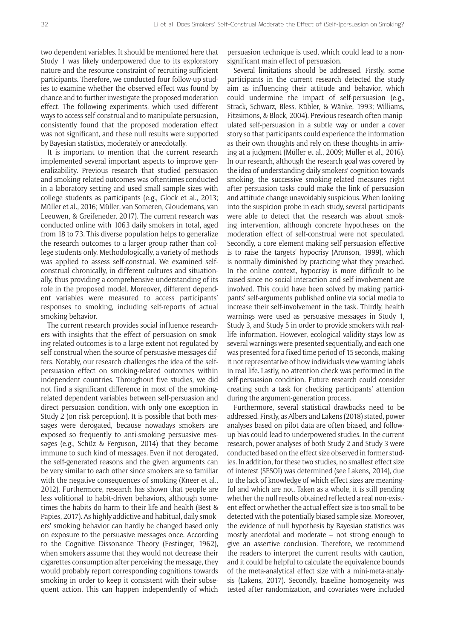two dependent variables. It should be mentioned here that Study 1 was likely underpowered due to its exploratory nature and the resource constraint of recruiting sufficient participants. Therefore, we conducted four follow-up studies to examine whether the observed effect was found by chance and to further investigate the proposed moderation effect. The following experiments, which used different ways to access self-construal and to manipulate persuasion, consistently found that the proposed moderation effect was not significant, and these null results were supported by Bayesian statistics, moderately or anecdotally.

It is important to mention that the current research implemented several important aspects to improve generalizability. Previous research that studied persuasion and smoking-related outcomes was oftentimes conducted in a laboratory setting and used small sample sizes with college students as participants (e.g., Glock et al., 2013; Müller et al., 2016; Müller, van Someren, Gloudemans, van Leeuwen, & Greifeneder, 2017). The current research was conducted online with 1063 daily smokers in total, aged from 18 to 73. This diverse population helps to generalize the research outcomes to a larger group rather than college students only. Methodologically, a variety of methods was applied to assess self-construal. We examined selfconstrual chronically, in different cultures and situationally, thus providing a comprehensive understanding of its role in the proposed model. Moreover, different dependent variables were measured to access participants' responses to smoking, including self-reports of actual smoking behavior.

The current research provides social influence researchers with insights that the effect of persuasion on smoking-related outcomes is to a large extent not regulated by self-construal when the source of persuasive messages differs. Notably, our research challenges the idea of the selfpersuasion effect on smoking-related outcomes within independent countries. Throughout five studies, we did not find a significant difference in most of the smokingrelated dependent variables between self-persuasion and direct persuasion condition, with only one exception in Study 2 (on risk perception). It is possible that both messages were derogated, because nowadays smokers are exposed so frequently to anti-smoking persuasive messages (e.g., Schüz & Ferguson, 2014) that they become immune to such kind of messages. Even if not derogated, the self-generated reasons and the given arguments can be very similar to each other since smokers are so familiar with the negative consequences of smoking (Kneer et al., 2012). Furthermore, research has shown that people are less volitional to habit-driven behaviors, although sometimes the habits do harm to their life and health (Best & Papies, 2017). As highly addictive and habitual, daily smokers' smoking behavior can hardly be changed based only on exposure to the persuasive messages once. According to the Cognitive Dissonance Theory (Festinger, 1962), when smokers assume that they would not decrease their cigarettes consumption after perceiving the message, they would probably report corresponding cognitions towards smoking in order to keep it consistent with their subsequent action. This can happen independently of which

persuasion technique is used, which could lead to a nonsignificant main effect of persuasion.

Several limitations should be addressed. Firstly, some participants in the current research detected the study aim as influencing their attitude and behavior, which could undermine the impact of self-persuasion (e.g., Strack, Schwarz, Bless, Kübler, & Wänke, 1993; Williams, Fitzsimons, & Block, 2004). Previous research often manipulated self-persuasion in a subtle way or under a cover story so that participants could experience the information as their own thoughts and rely on these thoughts in arriving at a judgment (Müller et al., 2009; Müller et al., 2016). In our research, although the research goal was covered by the idea of understanding daily smokers' cognition towards smoking, the successive smoking-related measures right after persuasion tasks could make the link of persuasion and attitude change unavoidably suspicious. When looking into the suspicion probe in each study, several participants were able to detect that the research was about smoking intervention, although concrete hypotheses on the moderation effect of self-construal were not speculated. Secondly, a core element making self-persuasion effective is to raise the targets' hypocrisy (Aronson, 1999), which is normally diminished by practicing what they preached. In the online context, hypocrisy is more difficult to be raised since no social interaction and self-involvement are involved. This could have been solved by making participants' self-arguments published online via social media to increase their self-involvement in the task. Thirdly, health warnings were used as persuasive messages in Study 1, Study 3, and Study 5 in order to provide smokers with reallife information. However, ecological validity stays low as several warnings were presented sequentially, and each one was presented for a fixed time period of 15 seconds, making it not representative of how individuals view warning labels in real life. Lastly, no attention check was performed in the self-persuasion condition. Future research could consider creating such a task for checking participants' attention during the argument-generation process.

Furthermore, several statistical drawbacks need to be addressed. Firstly, as Albers and Lakens (2018) stated, power analyses based on pilot data are often biased, and followup bias could lead to underpowered studies. In the current research, power analyses of both Study 2 and Study 3 were conducted based on the effect size observed in former studies. In addition, for these two studies, no smallest effect size of interest (SESOI) was determined (see Lakens, 2014), due to the lack of knowledge of which effect sizes are meaningful and which are not. Taken as a whole, it is still pending whether the null results obtained reflected a real non-existent effect or whether the actual effect size is too small to be detected with the potentially biased sample size. Moreover, the evidence of null hypothesis by Bayesian statistics was mostly anecdotal and moderate – not strong enough to give an assertive conclusion. Therefore, we recommend the readers to interpret the current results with caution, and it could be helpful to calculate the equivalence bounds of the meta-analytical effect size with a mini-meta-analysis (Lakens, 2017). Secondly, baseline homogeneity was tested after randomization, and covariates were included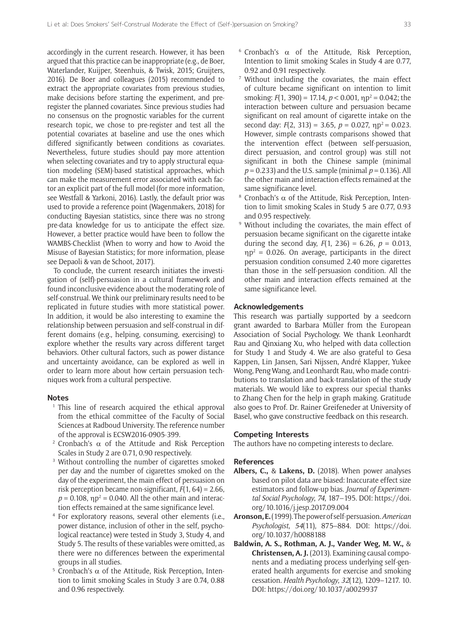accordingly in the current research. However, it has been argued that this practice can be inappropriate (e.g., de Boer, Waterlander, Kuijper, Steenhuis, & Twisk, 2015; Gruijters, 2016). De Boer and colleagues (2015) recommended to extract the appropriate covariates from previous studies, make decisions before starting the experiment, and preregister the planned covariates. Since previous studies had no consensus on the prognostic variables for the current research topic, we chose to pre-register and test all the potential covariates at baseline and use the ones which differed significantly between conditions as covariates. Nevertheless, future studies should pay more attention when selecting covariates and try to apply structural equation modeling (SEM)-based statistical approaches, which can make the measurement error associated with each factor an explicit part of the full model (for more information, see Westfall & Yarkoni, 2016). Lastly, the default prior was used to provide a reference point (Wagenmakers, 2018) for conducting Bayesian statistics, since there was no strong pre-data knowledge for us to anticipate the effect size. However, a better practice would have been to follow the WAMBS-Checklist (When to worry and how to Avoid the Misuse of Bayesian Statistics; for more information, please see Depaoli & van de Schoot, 2017).

To conclude, the current research initiates the investigation of (self)-persuasion in a cultural framework and found inconclusive evidence about the moderating role of self-construal. We think our preliminary results need to be replicated in future studies with more statistical power. In addition, it would be also interesting to examine the relationship between persuasion and self-construal in different domains (e.g., helping, consuming, exercising) to explore whether the results vary across different target behaviors. Other cultural factors, such as power distance and uncertainty avoidance, can be explored as well in order to learn more about how certain persuasion techniques work from a cultural perspective.

#### **Notes**

- <sup>1</sup> This line of research acquired the ethical approval from the ethical committee of the Faculty of Social Sciences at Radboud University. The reference number of the approval is ECSW2016-0905-399.
- <sup>2</sup> Cronbach's  $\alpha$  of the Attitude and Risk Perception Scales in Study 2 are 0.71, 0.90 respectively.
- <sup>3</sup> Without controlling the number of cigarettes smoked per day and the number of cigarettes smoked on the day of the experiment, the main effect of persuasion on risk perception became non-significant, *F*(1, 64) = 2.66,  $p = 0.108$ ,  $np^2 = 0.040$ . All the other main and interaction effects remained at the same significance level.
- <sup>4</sup> For exploratory reasons, several other elements (i.e., power distance, inclusion of other in the self, psychological reactance) were tested in Study 3, Study 4, and Study 5. The results of these variables were omitted, as there were no differences between the experimental groups in all studies.
- <sup>5</sup> Cronbach's α of the Attitude. Risk Perception, Intention to limit smoking Scales in Study 3 are 0.74, 0.88 and 0.96 respectively.
- $6$  Cronbach's α of the Attitude, Risk Perception, Intention to limit smoking Scales in Study 4 are 0.77, 0.92 and 0.91 respectively.
- <sup>7</sup> Without including the covariates, the main effect of culture became significant on intention to limit smoking:  $F(1, 390) = 17.14$ ,  $p < 0.001$ ,  $np^2 = 0.042$ ; the interaction between culture and persuasion became significant on real amount of cigarette intake on the second day:  $F(2, 313) = 3.65$ ,  $p = 0.027$ ,  $np^2 = 0.023$ . However, simple contrasts comparisons showed that the intervention effect (between self-persuasion, direct persuasion, and control group) was still not significant in both the Chinese sample (minimal *p* = 0.233) and the U.S. sample (minimal *p* = 0.136). All the other main and interaction effects remained at the same significance level.
- <sup>8</sup> Cronbach's  $\alpha$  of the Attitude, Risk Perception, Intention to limit smoking Scales in Study 5 are 0.77, 0.93 and 0.95 respectively.
- <sup>9</sup> Without including the covariates, the main effect of persuasion became significant on the cigarette intake during the second day,  $F(1, 236) = 6.26$ ,  $p = 0.013$ ,  $np^2 = 0.026$ . On average, participants in the direct persuasion condition consumed 2.40 more cigarettes than those in the self-persuasion condition. All the other main and interaction effects remained at the same significance level.

#### **Acknowledgements**

This research was partially supported by a seedcorn grant awarded to Barbara Müller from the European Association of Social Psychology. We thank Leonhardt Rau and Qinxiang Xu, who helped with data collection for Study 1 and Study 4. We are also grateful to Gesa Kappen, Lin Jansen, Sari Nijssen, André Klapper, Yukee Wong, Peng Wang, and Leonhardt Rau, who made contributions to translation and back-translation of the study materials. We would like to express our special thanks to Zhang Chen for the help in graph making. Gratitude also goes to Prof. Dr. Rainer Greifeneder at University of Basel, who gave constructive feedback on this research.

#### **Competing Interests**

The authors have no competing interests to declare.

#### **References**

- **Albers, C.,** & **Lakens, D.** (2018). When power analyses based on pilot data are biased: Inaccurate effect size estimators and follow-up bias. *Journal of Experimental Social Psychology*, *74*, 187–195. DOI: [https://doi.](https://doi.org/10.1016/j.jesp.2017.09.004) [org/10.1016/j.jesp.2017.09.004](https://doi.org/10.1016/j.jesp.2017.09.004)
- **Aronson, E.** (1999). The power of self-persuasion. *American Psychologist*, *54*(11), 875–884. DOI: [https://doi.](https://doi.org/10.1037/h0088188) [org/10.1037/h0088188](https://doi.org/10.1037/h0088188)
- **Baldwin, A. S., Rothman, A. J., Vander Weg, M. W.,** & **Christensen, A. J.** (2013). Examining causal components and a mediating process underlying self-generated health arguments for exercise and smoking cessation. *Health Psychology*, *32*(12), 1209–1217. 10. DOI: <https://doi.org/10.1037/a0029937>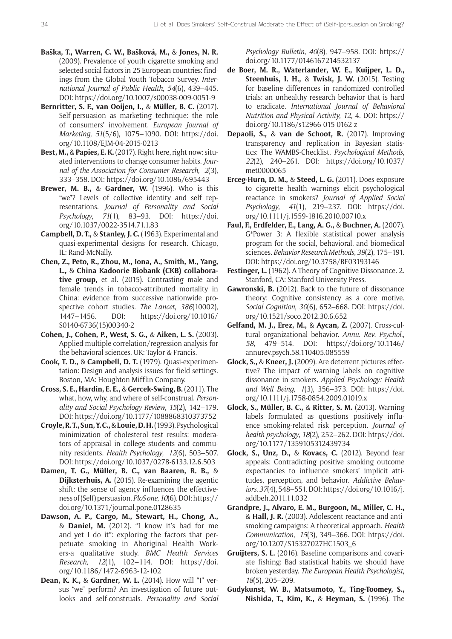- **Baška, T., Warren, C. W., Bašková, M.,** & **Jones, N. R.**  (2009). Prevalence of youth cigarette smoking and selected social factors in 25 European countries: findings from the Global Youth Tobacco Survey. *International Journal of Public Health*, *54*(6), 439–445. DOI: <https://doi.org/10.1007/s00038-009-0051-9>
- **Bernritter, S. F., van Ooijen, I.,** & **Müller, B. C.** (2017). Self-persuasion as marketing technique: the role of consumers' involvement. *European Journal of Marketing*, *51*(5/6), 1075–1090. DOI: [https://doi.](https://doi.org/10.1108/EJM-04-2015-0213) [org/10.1108/EJM-04-2015-0213](https://doi.org/10.1108/EJM-04-2015-0213)
- **Best, M.,** & **Papies, E. K.** (2017). Right here, right now: situated interventions to change consumer habits. *Journal of the Association for Consumer Research*, *2*(3), 333–358. DOI:<https://doi.org/10.1086/695443>
- **Brewer, M. B.,** & **Gardner, W.** (1996). Who is this "we"? Levels of collective identity and self representations. *Journal of Personality and Social Psychology*, *71*(1), 83–93. DOI: [https://doi.](https://doi.org/10.1037/0022-3514.71.1.83) [org/10.1037/0022-3514.71.1.83](https://doi.org/10.1037/0022-3514.71.1.83)
- **Campbell, D. T.,** & **Stanley, J. C.** (1963). Experimental and quasi-experimental designs for research. Chicago, IL: Rand-McNally.
- **Chen, Z., Peto, R., Zhou, M., Iona, A., Smith, M., Yang, L.,** & **China Kadoorie Biobank (CKB) collaborative group,** et al. (2015). Contrasting male and female trends in tobacco-attributed mortality in China: evidence from successive nationwide prospective cohort studies. *The Lancet*, *386*(10002), 1447–1456. DOI: [https://doi.org/10.1016/](https://doi.org/10.1016/S0140-6736(15)00340-2) [S0140-6736\(15\)00340-2](https://doi.org/10.1016/S0140-6736(15)00340-2)
- **Cohen, J., Cohen, P., West, S. G.,** & **Aiken, L. S.** (2003). Applied multiple correlation/regression analysis for the behavioral sciences. UK: Taylor & Francis.
- **Cook, T. D.,** & **Campbell, D. T.** (1979). Quasi-experimentation: Design and analysis issues for field settings. Boston, MA: Houghton Mifflin Company.
- **Cross, S. E., Hardin, E. E.,** & **Gercek-Swing, B.** (2011). The what, how, why, and where of self-construal. *Personality and Social Psychology Review*, *15*(2), 142–179. DOI: <https://doi.org/10.1177/1088868310373752>
- **Croyle, R. T., Sun, Y. C.,** & **Louie, D. H.** (1993). Psychological minimization of cholesterol test results: moderators of appraisal in college students and community residents. *Health Psychology*, *12*(6), 503–507. DOI: <https://doi.org/10.1037/0278-6133.12.6.503>
- **Damen, T. G., Müller, B. C., van Baaren, R. B.,** & **Dijksterhuis, A.** (2015). Re-examining the agentic shift: the sense of agency influences the effectiveness of (Self) persuasion. *PloS one*, *10*(6). DOI: [https://](https://doi.org/10.1371/journal.pone.0128635) [doi.org/10.1371/journal.pone.0128635](https://doi.org/10.1371/journal.pone.0128635)
- **Dawson, A. P., Cargo, M., Stewart, H., Chong, A.,** & **Daniel, M.** (2012). "I know it's bad for me and yet I do it": exploring the factors that perpetuate smoking in Aboriginal Health Workers-a qualitative study. *BMC Health Services Research*, *12*(1), 102–114. DOI: [https://doi.](https://doi.org/10.1186/1472-6963-12-102) [org/10.1186/1472-6963-12-102](https://doi.org/10.1186/1472-6963-12-102)
- **Dean, K. K.,** & **Gardner, W. L.** (2014). How will "I" versus "we" perform? An investigation of future outlooks and self-construals. *Personality and Social*

*Psychology Bulletin*, *40*(8), 947–958. DOI: [https://](https://doi.org/10.1177/0146167214532137) [doi.org/10.1177/0146167214532137](https://doi.org/10.1177/0146167214532137)

- **de Boer, M. R., Waterlander, W. E., Kuijper, L. D., Steenhuis, I. H.,** & **Twisk, J. W.** (2015). Testing for baseline differences in randomized controlled trials: an unhealthy research behavior that is hard to eradicate. *International Journal of Behavioral Nutrition and Physical Activity*, *12*, 4. DOI: [https://](https://doi.org/10.1186/s12966-015-0162-z) [doi.org/10.1186/s12966-015-0162-z](https://doi.org/10.1186/s12966-015-0162-z)
- **Depaoli, S.,** & **van de Schoot, R.** (2017). Improving transparency and replication in Bayesian statistics: The WAMBS-Checklist. *Psychological Methods*, *22*(2), 240–261. DOI: [https://doi.org/10.1037/](https://doi.org/10.1037/met0000065) [met0000065](https://doi.org/10.1037/met0000065)
- **Erceg-Hurn, D. M.,** & **Steed, L. G.** (2011). Does exposure to cigarette health warnings elicit psychological reactance in smokers? *Journal of Applied Social Psychology*, *41*(1), 219–237. DOI: [https://doi.](https://doi.org/10.1111/j.1559-1816.2010.00710.x) [org/10.1111/j.1559-1816.2010.00710.x](https://doi.org/10.1111/j.1559-1816.2010.00710.x)
- **Faul, F., Erdfelder, E., Lang, A. G.,** & **Buchner, A.** (2007). G\*Power 3: A flexible statistical power analysis program for the social, behavioral, and biomedical sciences. *Behavior Research Methods*, *39*(2), 175–191. DOI:<https://doi.org/10.3758/BF03193146>
- **Festinger, L.** (1962). A Theory of Cognitive Dissonance. 2. Stanford, CA: Stanford University Press.
- **Gawronski, B.** (2012). Back to the future of dissonance theory: Cognitive consistency as a core motive. *Social Cognition*, *30*(6), 652–668. DOI: [https://doi.](https://doi.org/10.1521/soco.2012.30.6.652) [org/10.1521/soco.2012.30.6.652](https://doi.org/10.1521/soco.2012.30.6.652)
- **Gelfand, M. J., Erez, M.,** & **Aycan, Z.** (2007). Cross-cultural organizational behavior. *Annu*. *Rev*. *Psychol*., *58*, 479–514. DOI: [https://doi.org/10.1146/](https://doi.org/10.1146/annurev.psych.58.110405.085559) [annurev.psych.58.110405.085559](https://doi.org/10.1146/annurev.psych.58.110405.085559)
- **Glock, S.,** & **Kneer, J.** (2009). Are deterrent pictures effective? The impact of warning labels on cognitive dissonance in smokers. *Applied Psychology: Health and Well Being*, *1*(3), 356–373. DOI: [https://doi.](https://doi.org/10.1111/j.1758-0854.2009.01019.x) [org/10.1111/j.1758-0854.2009.01019.x](https://doi.org/10.1111/j.1758-0854.2009.01019.x)
- **Glock, S., Müller, B. C.,** & **Ritter, S. M.** (2013). Warning labels formulated as questions positively influence smoking-related risk perception. *Journal of health psychology*, *18*(2), 252–262. DOI: [https://doi.](https://doi.org/10.1177/1359105312439734) [org/10.1177/1359105312439734](https://doi.org/10.1177/1359105312439734)
- **Glock, S., Unz, D.,** & **Kovacs, C.** (2012). Beyond fear appeals: Contradicting positive smoking outcome expectancies to influence smokers' implicit attitudes, perception, and behavior. *Addictive Behaviors*, *37*(4), 548–551. DOI: [https://doi.org/10.1016/j.](https://doi.org/10.1016/j.addbeh.2011.11.032) [addbeh.2011.11.032](https://doi.org/10.1016/j.addbeh.2011.11.032)
- **Grandpre, J., Alvaro, E. M., Burgoon, M., Miller, C. H.,** & **Hall, J. R.** (2003). Adolescent reactance and antismoking campaigns: A theoretical approach. *Health Communication*, *15*(3), 349–366. DOI: [https://doi.](https://doi.org/10.1207/S15327027HC1503_6) [org/10.1207/S15327027HC1503\\_6](https://doi.org/10.1207/S15327027HC1503_6)
- **Gruijters, S. L.** (2016). Baseline comparisons and covariate fishing: Bad statistical habits we should have broken yesterday. *The European Health Psychologist*, *18*(5), 205–209.
- **Gudykunst, W. B., Matsumoto, Y., Ting-Toomey, S., Nishida, T., Kim, K.,** & **Heyman, S.** (1996). The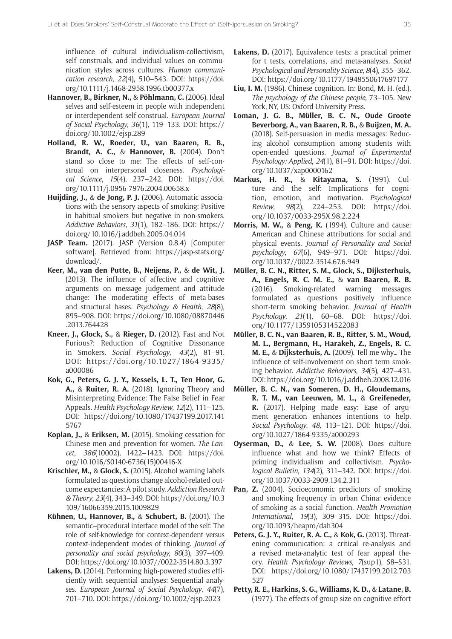influence of cultural individualism-collectivism, self construals, and individual values on communication styles across cultures. *Human communication research*, *22*(4), 510–543. DOI: [https://doi.](https://doi.org/10.1111/j.1468-2958.1996.tb00377.x) [org/10.1111/j.1468-2958.1996.tb00377.x](https://doi.org/10.1111/j.1468-2958.1996.tb00377.x)

- **Hannover, B., Birkner, N.,** & **Pöhlmann, C.** (2006). Ideal selves and self-esteem in people with independent or interdependent self-construal. *European Journal of Social Psychology*, *36*(1), 119–133. DOI: [https://](https://doi.org/10.1002/ejsp.289) [doi.org/10.1002/ejsp.289](https://doi.org/10.1002/ejsp.289)
- **Holland, R. W., Roeder, U., van Baaren, R. B., Brandt, A. C.,** & **Hannover, B.** (2004). Don't stand so close to me: The effects of self-construal on interpersonal closeness. *Psychological Science*, *15*(4), 237–242. DOI: [https://doi.](https://doi.org/10.1111/j.0956-7976.2004.00658.x) [org/10.1111/j.0956-7976.2004.00658.x](https://doi.org/10.1111/j.0956-7976.2004.00658.x)
- **Huijding, J.,** & **de Jong, P. J.** (2006). Automatic associations with the sensory aspects of smoking: Positive in habitual smokers but negative in non-smokers. *Addictive Behaviors*, *31*(1), 182–186. DOI: [https://](https://doi.org/10.1016/j.addbeh.2005.04.014) [doi.org/10.1016/j.addbeh.2005.04.014](https://doi.org/10.1016/j.addbeh.2005.04.014)
- **JASP Team.** (2017). JASP (Version 0.8.4) [Computer software]. Retrieved from: [https://jasp-stats.org/](https://jasp-stats.org/download/) [download/](https://jasp-stats.org/download/).
- **Keer, M., van den Putte, B., Neijens, P.,** & **de Wit, J.** (2013). The influence of affective and cognitive arguments on message judgement and attitude change: The moderating effects of meta-bases and structural bases. *Psychology & Health*, *28*(8), 895–908. DOI: [https://doi.org/10.1080/08870446](https://doi.org/10.1080/08870446.2013.764428) [.2013.764428](https://doi.org/10.1080/08870446.2013.764428)
- **Kneer, J., Glock, S.,** & **Rieger, D.** (2012). Fast and Not Furious?: Reduction of Cognitive Dissonance in Smokers. *Social Psychology*, *43*(2), 81–91. DOI: [https://doi.org/10.1027/1864-9335/](https://doi.org/10.1027/1864-9335/a000086) [a000086](https://doi.org/10.1027/1864-9335/a000086)
- **Kok, G., Peters, G. J. Y., Kessels, L. T., Ten Hoor, G. A.,** & **Ruiter, R. A.** (2018). Ignoring Theory and Misinterpreting Evidence: The False Belief in Fear Appeals. *Health Psychology Review*, *12*(2), 111–125. DOI: [https://doi.org/10.1080/17437199.2017.141](https://doi.org/10.1080/17437199.2017.1415767) [5767](https://doi.org/10.1080/17437199.2017.1415767)
- **Koplan, J.,** & **Eriksen, M.** (2015). Smoking cessation for Chinese men and prevention for women. *The Lancet*, *386*(10002), 1422–1423. DOI: [https://doi.](https://doi.org/10.1016/S0140-6736(15)00416-X) [org/10.1016/S0140-6736\(15\)00416-X](https://doi.org/10.1016/S0140-6736(15)00416-X)
- **Krischler, M.,** & **Glock, S.** (2015). Alcohol warning labels formulated as questions change alcohol-related outcome expectancies: A pilot study. *Addiction Research & Theory*, *23*(4), 343–349. DOI: [https://doi.org/10.3](https://doi.org/10.3109/16066359.2015.1009829) [109/16066359.2015.1009829](https://doi.org/10.3109/16066359.2015.1009829)
- **Kühnen, U., Hannover, B.,** & **Schubert, B.** (2001). The semantic–procedural interface model of the self: The role of self-knowledge for context-dependent versus context-independent modes of thinking. *Journal of personality and social psychology*, *80*(3), 397–409. DOI: <https://doi.org/10.1037//0022-3514.80.3.397>
- **Lakens, D.** (2014). Performing high-powered studies efficiently with sequential analyses: Sequential analyses. *European Journal of Social Psychology*, *44*(7), 701–710. DOI:<https://doi.org/10.1002/ejsp.2023>
- Lakens, D. (2017). Equivalence tests: a practical primer for t tests, correlations, and meta-analyses. *Social Psychological and Personality Science*, *8*(4), 355–362. DOI: <https://doi.org/10.1177/1948550617697177>
- **Liu, I. M.** (1986). Chinese cognition. In: Bond, M. H. (ed.), *The psychology of the Chinese people*, 73–105. New York, NY, US: Oxford University Press.
- **Loman, J. G. B., Müller, B. C. N., Oude Groote Beverborg, A., van Baaren, R. B.,** & **Buijzen, M. A.** (2018). Self-persuasion in media messages: Reducing alcohol consumption among students with open-ended questions. *Journal of Experimental Psychology: Applied*, *24*(1), 81–91. DOI: [https://doi.](https://doi.org/10.1037/xap0000162) [org/10.1037/xap0000162](https://doi.org/10.1037/xap0000162)
- **Markus, H. R.,** & **Kitayama, S.** (1991). Culture and the self: Implications for cognition, emotion, and motivation. *Psychological Review*, *98*(2), 224–253. DOI: [https://doi.](https://doi.org/10.1037/0033-295X.98.2.224) [org/10.1037/0033-295X.98.2.224](https://doi.org/10.1037/0033-295X.98.2.224)
- **Morris, M. W.,** & **Peng, K.** (1994). Culture and cause: American and Chinese attributions for social and physical events. *Journal of Personality and Social psychology*, *67*(6), 949–971. DOI: [https://doi.](https://doi.org/10.1037//0022-3514.67.6.949) [org/10.1037//0022-3514.67.6.949](https://doi.org/10.1037//0022-3514.67.6.949)
- **Müller, B. C. N., Ritter, S. M., Glock, S., Dijksterhuis, A., Engels, R. C. M. E.,** & **van Baaren, R. B.** (2016). Smoking-related warning messages formulated as questions positively influence short-term smoking behavior. *Journal of Health Psychology*, *21*(1), 60–68. DOI: [https://doi.](https://doi.org/10.1177/1359105314522083) [org/10.1177/1359105314522083](https://doi.org/10.1177/1359105314522083)
- **Müller, B. C. N., van Baaren, R. B., Ritter, S. M., Woud, M. L., Bergmann, H., Harakeh, Z., Engels, R. C. M. E.,** & **Dijksterhuis, A.** (2009). Tell me why… The influence of self-involvement on short term smoking behavior. *Addictive Behaviors*, *34*(5), 427–431. DOI:<https://doi.org/10.1016/j.addbeh.2008.12.016>
- **Müller, B. C. N., van Someren, D. H., Gloudemans, R. T. M., van Leeuwen, M. L.,** & **Greifeneder, R.** (2017). Helping made easy: Ease of argument generation enhances intentions to help. *Social Psychology*, *48*, 113–121. DOI: [https://doi.](https://doi.org/10.1027/1864-9335/a000293) [org/10.1027/1864-9335/a000293](https://doi.org/10.1027/1864-9335/a000293)
- **Oyserman, D.,** & **Lee, S. W.** (2008). Does culture influence what and how we think? Effects of priming individualism and collectivism. *Psychological Bulletin*, *134*(2), 311–342. DOI: [https://doi.](https://doi.org/10.1037/0033-2909.134.2.311) [org/10.1037/0033-2909.134.2.311](https://doi.org/10.1037/0033-2909.134.2.311)
- Pan, Z. (2004). Socioeconomic predictors of smoking and smoking frequency in urban China: evidence of smoking as a social function. *Health Promotion International*, *19*(3), 309–315. DOI: [https://doi.](https://doi.org/10.1093/heapro/dah304) [org/10.1093/heapro/dah304](https://doi.org/10.1093/heapro/dah304)
- **Peters, G. J. Y., Ruiter, R. A. C.,** & **Kok, G.** (2013). Threatening communication: a critical re-analysis and a revised meta-analytic test of fear appeal theory. *Health Psychology Reviews*, *7*(sup1), S8–S31. DOI: [https://doi.org/10.1080/17437199.2012.703](https://doi.org/10.1080/17437199.2012.703527) [527](https://doi.org/10.1080/17437199.2012.703527)
- **Petty, R. E., Harkins, S. G., Williams, K. D.,** & **Latane, B.** (1977). The effects of group size on cognitive effort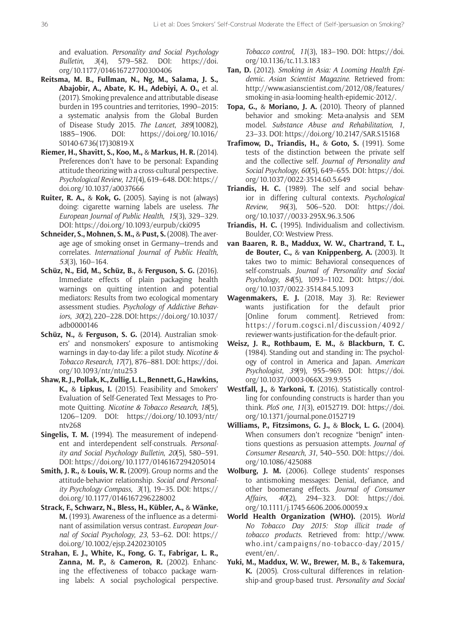and evaluation. *Personality and Social Psychology Bulletin*, *3*(4), 579–582. DOI: [https://doi.](https://doi.org/10.1177/014616727700300406) [org/10.1177/014616727700300406](https://doi.org/10.1177/014616727700300406)

- **Reitsma, M. B., Fullman, N., Ng, M., Salama, J. S., Abajobir, A., Abate, K. H., Adebiyi, A. O.,** et al. (2017). Smoking prevalence and attributable disease burden in 195 countries and territories, 1990–2015: a systematic analysis from the Global Burden of Disease Study 2015. *The Lancet*, *389*(10082), 1885–1906. DOI: [https://doi.org/10.1016/](https://doi.org/10.1016/S0140-6736(17)30819-X) [S0140-6736\(17\)30819-X](https://doi.org/10.1016/S0140-6736(17)30819-X)
- **Riemer, H., Shavitt, S., Koo, M.,** & **Markus, H. R.** (2014). Preferences don't have to be personal: Expanding attitude theorizing with a cross-cultural perspective. *Psychological Review*, *121*(4), 619–648. DOI: [https://](https://doi.org/10.1037/a0037666) [doi.org/10.1037/a0037666](https://doi.org/10.1037/a0037666)
- **Ruiter, R. A.,** & **Kok, G.** (2005). Saying is not (always) doing: cigarette warning labels are useless. *The European Journal of Public Health*, *15*(3), 329–329. DOI: <https://doi.org/10.1093/eurpub/cki095>
- **Schneider, S., Mohnen, S. M.,** & **Pust, S.** (2008). The average age of smoking onset in Germany—trends and correlates. *International Journal of Public Health*, *53*(3), 160–164.
- **Schüz, N., Eid, M., Schüz, B.,** & **Ferguson, S. G.** (2016). Immediate effects of plain packaging health warnings on quitting intention and potential mediators: Results from two ecological momentary assessment studies. *Psychology of Addictive Behaviors*, *30*(2), 220–228. DOI: [https://doi.org/10.1037/](https://doi.org/10.1037/adb0000146) [adb0000146](https://doi.org/10.1037/adb0000146)
- **Schüz, N.,** & **Ferguson, S. G.** (2014). Australian smokers' and nonsmokers' exposure to antismoking warnings in day-to-day life: a pilot study. *Nicotine & Tobacco Research*, *17*(7), 876–881. DOI: [https://doi.](https://doi.org/10.1093/ntr/ntu253) [org/10.1093/ntr/ntu253](https://doi.org/10.1093/ntr/ntu253)
- **Shaw, R. J., Pollak, K., Zullig, L. L., Bennett, G., Hawkins, K.,** & **Lipkus, I.** (2015). Feasibility and Smokers' Evaluation of Self-Generated Text Messages to Promote Quitting. *Nicotine & Tobacco Research*, *18*(5), 1206–1209. DOI: [https://doi.org/10.1093/ntr/](https://doi.org/10.1093/ntr/ntv268) [ntv268](https://doi.org/10.1093/ntr/ntv268)
- **Singelis, T. M.** (1994). The measurement of independent and interdependent self-construals. *Personality and Social Psychology Bulletin*, *20*(5), 580–591. DOI: <https://doi.org/10.1177/0146167294205014>
- **Smith, J. R.,** & **Louis, W. R.** (2009). Group norms and the attitude-behavior relationship. *Social and Personality Psychology Compass*, *3*(1), 19–35. DOI: [https://](https://doi.org/10.1177/0146167296228002) [doi.org/10.1177/0146167296228002](https://doi.org/10.1177/0146167296228002)
- **Strack, F., Schwarz, N., Bless, H., Kübler, A.,** & **Wänke, M.** (1993). Awareness of the influence as a determinant of assimilation versus contrast. *European Journal of Social Psychology*, *23*, 53–62. DOI: [https://](https://doi.org/10.1002/ejsp.2420230105) [doi.org/10.1002/ejsp.2420230105](https://doi.org/10.1002/ejsp.2420230105)
- **Strahan, E. J., White, K., Fong, G. T., Fabrigar, L. R., Zanna, M. P.,** & **Cameron, R.** (2002). Enhancing the effectiveness of tobacco package warning labels: A social psychological perspective.

*Tobacco control*, *11*(3), 183–190. DOI: [https://doi.](https://doi.org/10.1136/tc.11.3.183) [org/10.1136/tc.11.3.183](https://doi.org/10.1136/tc.11.3.183)

- **Tan, D.** (2012). *Smoking in Asia: A Looming Health Epidemic*. *Asian Scientist Magazine*. Retrieved from: [http://www.asianscientist.com/2012/08/features/](http://www.asianscientist.com/2012/08/features/smoking-in-asia-looming-health-epidemic-2012/) [smoking-in-asia-looming-health-epidemic-2012/](http://www.asianscientist.com/2012/08/features/smoking-in-asia-looming-health-epidemic-2012/).
- **Topa, G.,** & **Moriano, J. A.** (2010). Theory of planned behavior and smoking: Meta-analysis and SEM model. *Substance Abuse and Rehabilitation*, *1*, 23–33. DOI:<https://doi.org/10.2147/SAR.S15168>
- **Trafimow, D., Triandis, H.,** & **Goto, S.** (1991). Some tests of the distinction between the private self and the collective self. *Journal of Personality and Social Psychology*, *60*(5), 649–655. DOI: [https://doi.](https://doi.org/10.1037/0022-3514.60.5.649) [org/10.1037/0022-3514.60.5.649](https://doi.org/10.1037/0022-3514.60.5.649)
- **Triandis, H. C.** (1989). The self and social behavior in differing cultural contexts. *Psychological Review*, *96*(3), 506–520. DOI: [https://doi.](https://doi.org/10.1037//0033-295X.96.3.506) [org/10.1037//0033-295X.96.3.506](https://doi.org/10.1037//0033-295X.96.3.506)
- **Triandis, H. C.** (1995). Individualism and collectivism. Boulder, CO: Westview Press.
- **van Baaren, R. B., Maddux, W. W., Chartrand, T. L., de Bouter, C.,** & **van Knippenberg, A.** (2003). It takes two to mimic: Behavioral consequences of self-construals. *Journal of Personality and Social Psychology*, *84*(5), 1093–1102. DOI: [https://doi.](https://doi.org/10.1037/0022-3514.84.5.1093) [org/10.1037/0022-3514.84.5.1093](https://doi.org/10.1037/0022-3514.84.5.1093)
- **Wagenmakers, E. J.** (2018, May 3). Re: Reviewer wants justification for the default prior [Online forum comment]. Retrieved from: [https://forum.cogsci.nl/discussion/4092/](https://forum.cogsci.nl/discussion/4092/reviewer-wants-justification-for-the-default-prior) [reviewer-wants-justification-for-the-default-prior](https://forum.cogsci.nl/discussion/4092/reviewer-wants-justification-for-the-default-prior).
- **Weisz, J. R., Rothbaum, E. M.,** & **Blackburn, T. C.**  (1984). Standing out and standing in: The psychology of control in America and Japan. *American Psychologist*, *39*(9), 955–969. DOI: [https://doi.](https://doi.org/10.1037/0003-066X.39.9.955) [org/10.1037/0003-066X.39.9.955](https://doi.org/10.1037/0003-066X.39.9.955)
- **Westfall, J.,** & **Yarkoni, T.** (2016). Statistically controlling for confounding constructs is harder than you think. *PloS one*, *11*(3), e0152719. DOI: [https://doi.](https://doi.org/10.1371/journal.pone.0152719) [org/10.1371/journal.pone.0152719](https://doi.org/10.1371/journal.pone.0152719)
- **Williams, P., Fitzsimons, G. J.,** & **Block, L. G.** (2004). When consumers don't recognize "benign" intentions questions as persuasion attempts. *Journal of Consumer Research*, *31*, 540–550. DOI: [https://doi.](https://doi.org/10.1086/425088) [org/10.1086/425088](https://doi.org/10.1086/425088)
- **Wolburg, J. M.** (2006). College students' responses to antismoking messages: Denial, defiance, and other boomerang effects. *Journal of Consumer Affairs*, *40*(2), 294–323. DOI: [https://doi.](https://doi.org/10.1111/j.1745-6606.2006.00059.x) [org/10.1111/j.1745-6606.2006.00059.x](https://doi.org/10.1111/j.1745-6606.2006.00059.x)
- **World Health Organization (WHO).** (2015). *World No Tobacco Day 2015: Stop illicit trade of tobacco products*. Retrieved from: [http://www.](http://www.who.int/campaigns/no-tobacco-day/2015/event/en/) [who.int/campaigns/no-tobacco-day/2015/](http://www.who.int/campaigns/no-tobacco-day/2015/event/en/) [event/en/](http://www.who.int/campaigns/no-tobacco-day/2015/event/en/).
- **Yuki, M., Maddux, W. W., Brewer, M. B.,** & **Takemura, K.** (2005). Cross-cultural differences in relationship-and group-based trust. *Personality and Social*